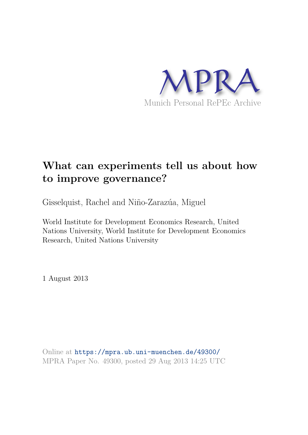

# **What can experiments tell us about how to improve governance?**

Gisselquist, Rachel and Niño-Zarazúa, Miguel

World Institute for Development Economics Research, United Nations University, World Institute for Development Economics Research, United Nations University

1 August 2013

Online at https://mpra.ub.uni-muenchen.de/49300/ MPRA Paper No. 49300, posted 29 Aug 2013 14:25 UTC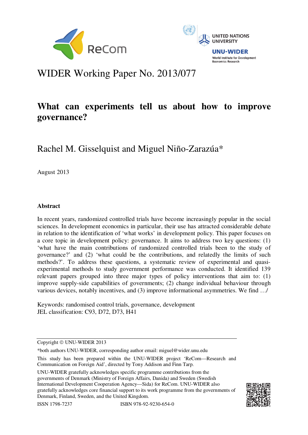



# WIDER Working Paper No. 2013/077

## **What can experiments tell us about how to improve governance?**

## Rachel M. Gisselquist and Miguel Niño-Zarazúa\*

August 2013

### **Abstract**

In recent years, randomized controlled trials have become increasingly popular in the social sciences. In development economics in particular, their use has attracted considerable debate in relation to the identification of 'what works' in development policy. This paper focuses on a core topic in development policy: governance. It aims to address two key questions: (1) 'what have the main contributions of randomized controlled trials been to the study of governance?' and (2) 'what could be the contributions, and relatedly the limits of such methods?'. To address these questions, a systematic review of experimental and quasiexperimental methods to study government performance was conducted. It identified 139 relevant papers grouped into three major types of policy interventions that aim to: (1) improve supply-side capabilities of governments; (2) change individual behaviour through various devices, notably incentives, and (3) improve informational asymmetries. We find …/

Keywords: randomised control trials, governance, development JEL classification: C93, D72, D73, H41

Copyright © UNU-WIDER 2013

\*both authors UNU-WIDER, corresponding author email: miguel@wider.unu.edu

This study has been prepared within the UNU-WIDER project 'ReCom—Research and Communication on Foreign Aid', directed by Tony Addison and Finn Tarp.

UNU-WIDER gratefully acknowledges specific programme contributions from the governments of Denmark (Ministry of Foreign Affairs, Danida) and Sweden (Swedish International Development Cooperation Agency—Sida) for ReCom. UNU-WIDER also gratefully acknowledges core financial support to its work programme from the governments of Denmark, Finland, Sweden, and the United Kingdom.

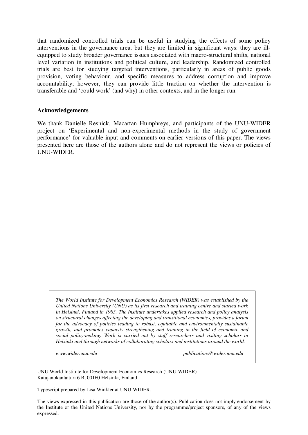that randomized controlled trials can be useful in studying the effects of some policy interventions in the governance area, but they are limited in significant ways: they are illequipped to study broader governance issues associated with macro-structural shifts, national level variation in institutions and political culture, and leadership. Randomized controlled trials are best for studying targeted interventions, particularly in areas of public goods provision, voting behaviour, and specific measures to address corruption and improve accountability; however, they can provide little traction on whether the intervention is transferable and 'could work' (and why) in other contexts, and in the longer run.

#### **Acknowledgements**

We thank Danielle Resnick, Macartan Humphreys, and participants of the UNU-WIDER project on 'Experimental and non-experimental methods in the study of government performance' for valuable input and comments on earlier versions of this paper. The views presented here are those of the authors alone and do not represent the views or policies of UNU-WIDER.

*The World Institute for Development Economics Research (WIDER) was established by the United Nations University (UNU) as its first research and training centre and started work in Helsinki, Finland in 1985. The Institute undertakes applied research and policy analysis on structural changes affecting the developing and transitional economies, provides a forum for the advocacy of policies leading to robust, equitable and environmentally sustainable growth, and promotes capacity strengthening and training in the field of economic and social policy-making. Work is carried out by staff researchers and visiting scholars in Helsinki and through networks of collaborating scholars and institutions around the world.* 

*www.wider.unu.edu publications@wider.unu.edu* 

UNU World Institute for Development Economics Research (UNU-WIDER) Katajanokanlaituri 6 B, 00160 Helsinki, Finland

Typescript prepared by Lisa Winkler at UNU-WIDER.

The views expressed in this publication are those of the author(s). Publication does not imply endorsement by the Institute or the United Nations University, nor by the programme/project sponsors, of any of the views expressed.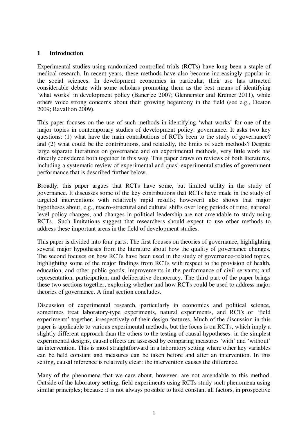### **1 Introduction**

Experimental studies using randomized controlled trials (RCTs) have long been a staple of medical research. In recent years, these methods have also become increasingly popular in the social sciences. In development economics in particular, their use has attracted considerable debate with some scholars promoting them as the best means of identifying 'what works' in development policy (Banerjee 2007; Glennerster and Kremer 2011), while others voice strong concerns about their growing hegemony in the field (see e.g., Deaton 2009; Ravallion 2009).

This paper focuses on the use of such methods in identifying 'what works' for one of the major topics in contemporary studies of development policy: governance. It asks two key questions: (1) what have the main contributions of RCTs been to the study of governance? and (2) what could be the contributions, and relatedly, the limits of such methods? Despite large separate literatures on governance and on experimental methods, very little work has directly considered both together in this way. This paper draws on reviews of both literatures, including a systematic review of experimental and quasi-experimental studies of government performance that is described further below.

Broadly, this paper argues that RCTs have some, but limited utility in the study of governance. It discusses some of the key contributions that RCTs have made in the study of targeted interventions with relatively rapid results; howeverit also shows that major hypotheses about, e.g., macro-structural and cultural shifts over long periods of time, national level policy changes, and changes in political leadership are not amendable to study using RCTs.. Such limitations suggest that researchers should expect to use other methods to address these important areas in the field of development studies.

This paper is divided into four parts. The first focuses on theories of governance, highlighting several major hypotheses from the literature about how the quality of governance changes. The second focuses on how RCTs have been used in the study of governance-related topics, highlighting some of the major findings from RCTs with respect to the provision of health, education, and other public goods; improvements in the performance of civil servants; and representation, participation, and deliberative democracy. The third part of the paper brings these two sections together, exploring whether and how RCTs could be used to address major theories of governance. A final section concludes.

Discussion of experimental research, particularly in economics and political science, sometimes treat laboratory-type experiments, natural experiments, and RCTs or 'field experiments' together, irrespectively of their design features. Much of the discussion in this paper is applicable to various experimental methods, but the focus is on RCTs, which imply a slightly different approach than the others to the testing of causal hypotheses: in the simplest experimental designs, causal effects are assessed by comparing measures 'with' and 'without' an intervention. This is most straightforward in a laboratory setting where other key variables can be held constant and measures can be taken before and after an intervention. In this setting, causal inference is relatively clear: the intervention causes the difference.

Many of the phenomena that we care about, however, are not amendable to this method. Outside of the laboratory setting, field experiments using RCTs study such phenomena using similar principles; because it is not always possible to hold constant all factors, in prospective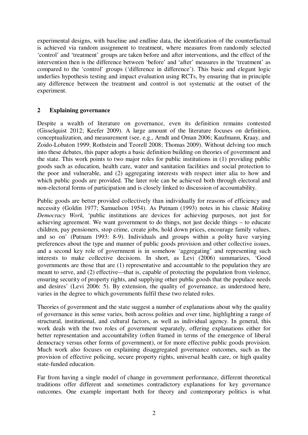experimental designs, with baseline and endline data, the identification of the counterfactual is achieved via random assignment to treatment, where measures from randomly selected 'control' and 'treatment' groups are taken before and after interventions, and the effect of the intervention then is the difference between 'before' and 'after' measures in the 'treatment' as compared to the 'control' groups ('difference in difference'). This basic and elegant logic underlies hypothesis testing and impact evaluation using RCTs, by ensuring that in principle any difference between the treatment and control is not systematic at the outset of the experiment.

### **2 Explaining governance**

Despite a wealth of literature on governance, even its definition remains contested (Gisselquist 2012; Keefer 2009). A large amount of the literature focuses on definition, conceptualization, and measurement (see, e.g., Arndt and Oman 2006; Kaufmann, Kraay, and Zoido-Lobaton 1999; Rothstein and Teorell 2008; Thomas 2009). Without delving too much into these debates, this paper adopts a basic definition building on theories of government and the state. This work points to two major roles for public institutions in (1) providing public goods such as education, health care, water and sanitation facilities and social protection to the poor and vulnerable, and (2) aggregating interests with respect inter alia to how and which public goods are provided. The later role can be achieved both through electoral and non-electoral forms of participation and is closely linked to discussion of accountability.

Public goods are better provided collectively than individually for reasons of efficiency and necessity (Goldin 1977; Samuelson 1954). As Putnam (1993) notes in his classic *Making Democracy Work,* 'public institutions are devices for achieving purposes, not just for achieving agreement. We want government to do things, not just decide things – to educate children, pay pensioners, stop crime, create jobs, hold down prices, encourage family values, and so on' (Putnam 1993: 8-9). Individuals and groups within a polity have varying preferences about the type and manner of public goods provision and other collective issues, and a second key role of government is in somehow 'aggregating' and representing such interests to make collective decisions. In short, as Levi (2006) summarizes, 'Good governments are those that are (1) representative and accountable to the population they are meant to serve, and (2) effective—that is, capable of protecting the population from violence, ensuring security of property rights, and supplying other public goods that the populace needs and desires' (Levi 2006: 5). By extension, the quality of governance, as understood here, varies in the degree to which governments fulfil these two related roles.

Theories of government and the state suggest a number of explanations about why the quality of governance in this sense varies, both across polities and over time, highlighting a range of structural, institutional, and cultural factors, as well as individual agency. In general, this work deals with the two roles of government separately, offering explanations either for better representation and accountability (often framed in terms of the emergence of liberal democracy versus other forms of government), or for more effective public goods provision. Much work also focuses on explaining disaggregated governance outcomes, such as the provision of effective policing, secure property rights, universal health care, or high quality state-funded education.

Far from having a single model of change in government performance, different theoretical traditions offer different and sometimes contradictory explanations for key governance outcomes. One example important both for theory and contemporary politics is what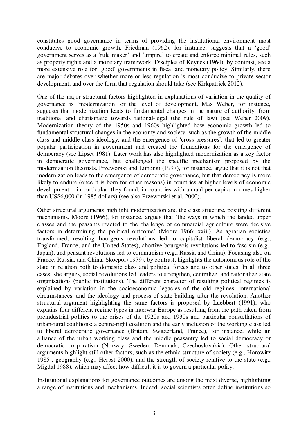constitutes good governance in terms of providing the institutional environment most conducive to economic growth. Friedman (1962), for instance, suggests that a 'good' government serves as a 'rule maker' and 'umpire' to create and enforce minimal rules, such as property rights and a monetary framework. Disciples of Keynes (1964), by contrast, see a more extensive role for 'good' governments in fiscal and monetary policy. Similarly, there are major debates over whether more or less regulation is most conducive to private sector development, and over the form that regulation should take (see Kirkpatrick 2012).

One of the major structural factors highlighted in explanations of variation in the quality of governance is 'modernization' or the level of development. Max Weber, for instance, suggests that modernization leads to fundamental changes in the nature of authority, from traditional and charismatic towards rational-legal (the rule of law) (see Weber 2009). Modernization theory of the 1950s and 1960s highlighted how economic growth led to fundamental structural changes in the economy and society, such as the growth of the middle class and middle class ideology, and the emergence of 'cross pressures', that led to greater popular participation in government and created the foundations for the emergence of democracy (see Lipset 1981). Later work has also highlighted modernization as a key factor in democratic governance, but challenged the specific mechanism proposed by the modernization theorists. Przeworski and Limongi (1997), for instance, argue that it is not that modernization leads to the emergence of democratic governance, but that democracy is more likely to endure (once it is born for other reasons) in countries at higher levels of economic development – in particular, they found, in countries with annual per capita incomes higher than US\$6,000 (in 1985 dollars) (see also Przeworski et al. 2000).

Other structural arguments highlight modernization and the class structure, positing different mechanisms. Moore (1966), for instance, argues that 'the ways in which the landed upper classes and the peasants reacted to the challenge of commercial agriculture were decisive factors in determining the political outcome' (Moore 1966: xxiii). As agrarian societies transformed, resulting bourgeois revolutions led to capitalist liberal democracy (e.g., England, France, and the United States), abortive bourgeois revolutions led to fascism (e.g., Japan), and peasant revolutions led to communism (e.g., Russia and China). Focusing also on France, Russia, and China, Skocpol (1979), by contrast, highlights the autonomous role of the state in relation both to domestic class and political forces and to other states. In all three cases, she argues, social revolutions led leaders to strengthen, centralize, and rationalize state organizations (public institutions). The different character of resulting political regimes is explained by variation in the socioeconomic legacies of the old regimes, international circumstances, and the ideology and process of state-building after the revolution. Another structural argument highlighting the same factors is proposed by Luebbert (1991), who explains four different regime types in interwar Europe as resulting from the path taken from preindustrial politics to the crises of the 1920s and 1930s and particular constellations of urban-rural coalitions: a centre-right coalition and the early inclusion of the working class led to liberal democratic governance (Britain, Switzerland, France), for instance, while an alliance of the urban working class and the middle peasantry led to social democracy or democratic corporatism (Norway, Sweden, Denmark, Czechoslovakia). Other structural arguments highlight still other factors, such as the ethnic structure of society (e.g., Horowitz 1985), geography (e.g., Herbst 2000), and the strength of society relative to the state (e.g., Migdal 1988), which may affect how difficult it is to govern a particular polity.

Institutional explanations for governance outcomes are among the most diverse, highlighting a range of institutions and mechanisms. Indeed, social scientists often define institutions so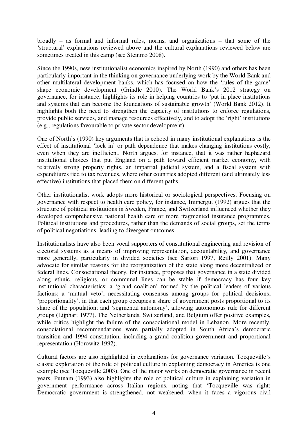broadly – as formal and informal rules, norms, and organizations – that some of the 'structural' explanations reviewed above and the cultural explanations reviewed below are sometimes treated in this camp (see Steinmo 2008).

Since the 1990s, new institutionalist economics inspired by North (1990) and others has been particularly important in the thinking on governance underlying work by the World Bank and other multilateral development banks, which has focused on how the 'rules of the game' shape economic development (Grindle 2010). The World Bank's 2012 strategy on governance, for instance, highlights its role in helping countries to 'put in place institutions and systems that can become the foundations of sustainable growth' (World Bank 2012). It highlights both the need to strengthen the capacity of institutions to enforce regulations, provide public services, and manage resources effectively, and to adopt the 'right' institutions (e.g., regulations favourable to private sector development).

One of North's (1990) key arguments that is echoed in many institutional explanations is the effect of institutional 'lock in' or path dependence that makes changing institutions costly, even when they are inefficient. North argues, for instance, that it was rather haphazard institutional choices that put England on a path toward efficient market economy, with relatively strong property rights, an impartial judicial system, and a fiscal system with expenditures tied to tax revenues, where other countries adopted different (and ultimately less effective) institutions that placed them on different paths.

Other institutionalist work adopts more historical or sociological perspectives. Focusing on governance with respect to health care policy, for instance, Immergut (1992) argues that the structure of political institutions in Sweden, France, and Switzerland influenced whether they developed comprehensive national health care or more fragmented insurance programmes. Political institutions and procedures, rather than the demands of social groups, set the terms of political negotiations, leading to divergent outcomes.

Institutionalists have also been vocal supporters of constitutional engineering and revision of electoral systems as a means of improving representation, accountability, and governance more generally, particularly in divided societies (see Sartori 1997, Reilly 2001). Many advocate for similar reasons for the reorganization of the state along more decentralized or federal lines. Consociational theory, for instance, proposes that governance in a state divided along ethnic, religious, or communal lines can be stable if democracy has four key institutional characteristics: a 'grand coalition' formed by the political leaders of various factions; a 'mutual veto', necessitating consensus among groups for political decisions; 'proportionality', in that each group occupies a share of government posts proportional to its share of the population; and 'segmental autonomy', allowing autonomous rule for different groups (Lijphart 1977). The Netherlands, Switzerland, and Belgium offer positive examples, while critics highlight the failure of the consociational model in Lebanon. More recently, consociational recommendations were partially adopted in South Africa's democratic transition and 1994 constitution, including a grand coalition government and proportional representation (Horowitz 1992).

Cultural factors are also highlighted in explanations for governance variation. Tocqueville's classic exploration of the role of political culture in explaining democracy in America is one example (see Tocqueville 2003). One of the major works on democratic governance in recent years, Putnam (1993) also highlights the role of political culture in explaining variation in government performance across Italian regions, noting that 'Tocqueville was right: Democratic government is strengthened, not weakened, when it faces a vigorous civil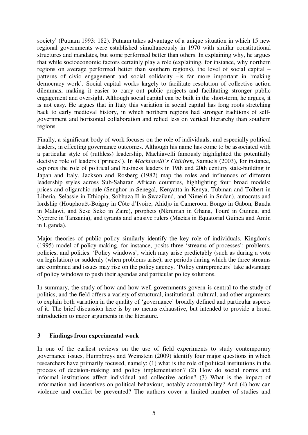society' (Putnam 1993: 182). Putnam takes advantage of a unique situation in which 15 new regional governments were established simultaneously in 1970 with similar constitutional structures and mandates, but some performed better than others. In explaining why, he argues that while socioeconomic factors certainly play a role (explaining, for instance, why northern regions on average performed better than southern regions), the level of social capital – patterns of civic engagement and social solidarity –is far more important in 'making democracy work'. Social capital works largely to facilitate resolution of collective action dilemmas, making it easier to carry out public projects and facilitating stronger public engagement and oversight. Although social capital can be built in the short-term, he argues, it is not easy. He argues that in Italy this variation in social capital has long roots stretching back to early medieval history, in which northern regions had stronger traditions of selfgovernment and horizontal collaboration and relied less on vertical hierarchy than southern regions.

Finally, a significant body of work focuses on the role of individuals, and especially political leaders, in effecting governance outcomes. Although his name has come to be associated with a particular style of (ruthless) leadership, Machiavelli famously highlighted the potentially decisive role of leaders ('princes'). In *Machiavelli's Children*, Samuels (2003), for instance, explores the role of political and business leaders in 19th and 20th century state-building in Japan and Italy. Jackson and Rosberg (1982) map the roles and influences of different leadership styles across Sub-Saharan African countries, highlighting four broad models: prices and oligarchic rule (Senghor in Senegal, Kenyatta in Kenya, Tubman and Tolbert in Liberia, Selassie in Ethiopia, Sobhuza II in Swaziland, and Nimeiri in Sudan), autocrats and lordship (Houphouët-Boigny in Côte d'Ivoire, Ahidjo in Cameroon, Bongo in Gabon, Banda in Malawi, and Sese Seko in Zaire), prophets (Nkrumah in Ghana, Touré in Guinea, and Nyerere in Tanzania), and tyrants and abusive rulers (Macías in Equatorial Guinea and Amin in Uganda).

Major theories of public policy similarly identify the key role of individuals. Kingdon's (1995) model of policy-making, for instance, posits three 'streams of processes': problems, policies, and politics. 'Policy windows', which may arise predictably (such as during a vote on legislation) or suddenly (when problems arise), are periods during which the three streams are combined and issues may rise on the policy agency. 'Policy entrepreneurs' take advantage of policy windows to push their agendas and particular policy solutions.

In summary, the study of how and how well governments govern is central to the study of politics, and the field offers a variety of structural, institutional, cultural, and other arguments to explain both variation in the quality of 'governance' broadly defined and particular aspects of it. The brief discussion here is by no means exhaustive, but intended to provide a broad introduction to major arguments in the literature.

#### **3 Findings from experimental work**

In one of the earliest reviews on the use of field experiments to study contemporary governance issues, Humphreys and Weinstein (2009) identify four major questions in which researchers have primarily focused, namely: (1) what is the role of political institutions in the process of decision-making and policy implementation? (2) How do social norms and informal institutions affect individual and collective action? (3) What is the impact of information and incentives on political behaviour, notably accountability? And (4) how can violence and conflict be prevented? The authors cover a limited number of studies and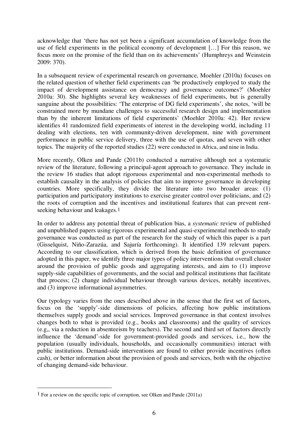acknowledge that 'there has not yet been a significant accumulation of knowledge from the use of field experiments in the political economy of development […] For this reason, we focus more on the promise of the field than on its achievements' (Humphreys and Weinstein 2009: 370).

In a subsequent review of experimental research on governance, Moehler (2010a) focuses on the related question of whether field experiments can 'be productively employed to study the impact of development assistance on democracy and governance outcomes?' (Moehler 2010a: 30). She highlights several key weaknesses of field experiments, but is generally sanguine about the possibilities: 'The enterprise of DG field experiments', she notes, 'will be constrained more by mundane challenges to successful research design and implementation than by the inherent limitations of field experiments' (Moehler 2010a: 42). Her review identifies 41 randomized field experiments of interest in the developing world, including 11 dealing with elections, ten with community-driven development, nine with government performance in public service delivery, three with the use of quotas, and seven with other topics. The majority of the reported studies (22) were conducted in Africa, and nine in India.

More recently, Olken and Pande (2011b) conducted a narrative although not a systematic review of the literature, following a principal-agent approach to governance. They include in the review 16 studies that adopt rigoruous experimental and non-experimental methods to establish causality in the analysis of policies that aim to improve governance in developing countries. More specifically, they divide the literature into two broader areas: (1) participation and participatory institutions to exercise greater control over politicians, and (2) the roots of corruption and the incentives and institutional features that can prevent rentseeking behaviour and leakages.<sup>1</sup>

In order to address any potential threat of publication bias, a *systematic* review of published and unpublished papers using rigorous experimental and quasi-experimental methods to study governance was conducted as part of the research for the study of which this paper is a part (Gisselquist, Niño-Zarazúa, and Sajuría forthcoming). It identified 139 relevant papers. According to our classification, which is derived from the basic definition of governance adopted in this paper, we identify three major types of policy interventions that overall cluster around the provision of public goods and aggregating interests, and aim to (1) improve supply-side capabilities of governments, and the social and political institutions that facilitate that process; (2) change individual behaviour through various devices, notably incentives, and (3) improve informational asymmetries.

Our typology varies from the ones described above in the sense that the first set of factors, focus on the 'supply'-side dimensions of policies, affecting how public institutions themselves supply goods and social services. Improved governance in that context involves changes both to what is provided (e.g., books and classrooms) and the quality of services (e.g,, via a reduction in absenteeism by teachers). The second and third set of factors directly influence the 'demand'-side for government-provided goods and services, i.e., how the population (usually individuals, households, and occasionally communities) interact with public institutions. Demand-side interventions are found to either provide incentives (often cash), or better information about the provision of goods and services, both with the objective of changing demand-side behaviour.

<u>.</u>

<sup>1</sup> For a review on the specific topic of corruption, see Olken and Pande (2011a)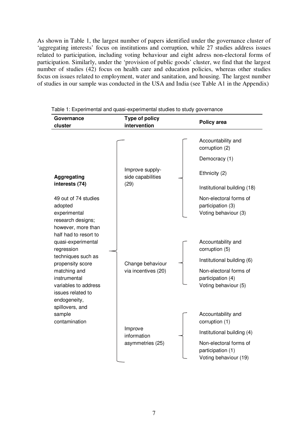As shown in Table 1, the largest number of papers identified under the governance cluster of 'aggregating interests' focus on institutions and corruption, while 27 studies address issues related to participation, including voting behaviour and eight adress non-electoral forms of participation. Similarly, under the 'provision of public goods' cluster, we find that the largest number of studies (42) focus on health care and education policies, whereas other studies focus on issues related to employment, water and sanitation, and housing. The largest number of studies in our sample was conducted in the USA and India (see Table A1 in the Appendix)

| Governance<br>cluster                                                                                                                                                                                                                       | Type of policy<br>intervention             | Policy area                                                                                                                                |
|---------------------------------------------------------------------------------------------------------------------------------------------------------------------------------------------------------------------------------------------|--------------------------------------------|--------------------------------------------------------------------------------------------------------------------------------------------|
|                                                                                                                                                                                                                                             |                                            | Accountability and<br>corruption (2)                                                                                                       |
|                                                                                                                                                                                                                                             |                                            | Democracy (1)                                                                                                                              |
| <b>Aggregating</b>                                                                                                                                                                                                                          | Improve supply-<br>side capabilities       | Ethnicity (2)                                                                                                                              |
| interests (74)                                                                                                                                                                                                                              | (29)                                       | Institutional building (18)                                                                                                                |
| 49 out of 74 studies<br>adopted<br>experimental                                                                                                                                                                                             |                                            | Non-electoral forms of<br>participation (3)<br>Voting behaviour (3)                                                                        |
| research designs;<br>however, more than<br>half had to resort to<br>quasi-experimental<br>regression<br>techniques such as<br>propensity score<br>matching and<br>instrumental<br>variables to address<br>issues related to<br>endogeneity, | Change behaviour<br>via incentives (20)    | Accountability and<br>corruption (5)<br>Institutional building (6)<br>Non-electoral forms of<br>participation (4)<br>Voting behaviour (5)  |
| spillovers, and<br>sample<br>contamination                                                                                                                                                                                                  | Improve<br>information<br>asymmetries (25) | Accountability and<br>corruption (1)<br>Institutional building (4)<br>Non-electoral forms of<br>participation (1)<br>Voting behaviour (19) |

Table 1: Experimental and quasi-experimental studies to study governance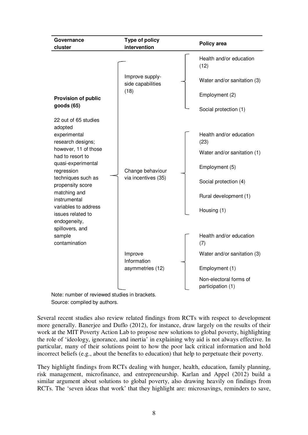| Governance<br>cluster                                                                                                                                                                                                                                                                       | <b>Type of policy</b><br>intervention        | Policy area                                                                                                                                       |
|---------------------------------------------------------------------------------------------------------------------------------------------------------------------------------------------------------------------------------------------------------------------------------------------|----------------------------------------------|---------------------------------------------------------------------------------------------------------------------------------------------------|
| <b>Provision of public</b><br>goods (65)                                                                                                                                                                                                                                                    | Improve supply-<br>side capabilities<br>(18) | Health and/or education<br>(12)<br>Water and/or sanitation (3)<br>Employment (2)<br>Social protection (1)                                         |
| 22 out of 65 studies<br>adopted<br>experimental<br>research designs;<br>however, 11 of those<br>had to resort to<br>quasi-experimental<br>regression<br>techniques such as<br>propensity score<br>matching and<br>instrumental<br>variables to address<br>issues related to<br>endogeneity, | Change behaviour<br>via incentives (35)      | Health and/or education<br>(23)<br>Water and/or sanitation (1)<br>Employment (5)<br>Social protection (4)<br>Rural development (1)<br>Housing (1) |
| spillovers, and<br>sample<br>contamination<br>Note: number of rovioured studies in broakets                                                                                                                                                                                                 | Improve<br>Information<br>asymmetries (12)   | Health and/or education<br>(7)<br>Water and/or sanitation (3)<br>Employment (1)<br>Non-electoral forms of<br>participation (1)                    |

Note: number of reviewed studies in brackets. Source: compiled by authors.

Several recent studies also review related findings from RCTs with respect to development more generally. Banerjee and Duflo (2012), for instance, draw largely on the results of their work at the MIT Poverty Action Lab to propose new solutions to global poverty, highlighting the role of 'ideology, ignorance, and inertia' in explaining why aid is not always effective. In particular, many of their solutions point to how the poor lack critical information and hold incorrect beliefs (e.g., about the benefits to education) that help to perpetuate their poverty.

They highlight findings from RCTs dealing with hunger, health, education, family planning, risk management, microfinance, and entrepreneurship. Karlan and Appel (2012) build a similar argument about solutions to global poverty, also drawing heavily on findings from RCTs. The 'seven ideas that work' that they highlight are: microsavings, reminders to save,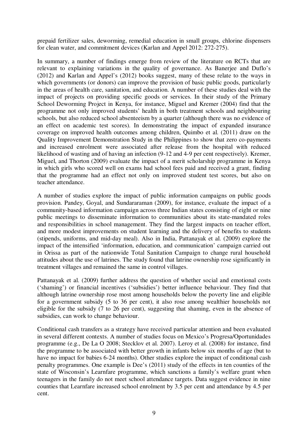prepaid fertilizer sales, deworming, remedial education in small groups, chlorine dispensers for clean water, and commitment devices (Karlan and Appel 2012: 272-275).

In summary, a number of findings emerge from review of the literature on RCTs that are relevant to explaining variations in the quality of governance. As Banerjee and Duflo's (2012) and Karlan and Appel's (2012) books suggest, many of these relate to the ways in which governments (or donors) can improve the provision of basic public goods, particularly in the areas of health care, sanitation, and education. A number of these studies deal with the impact of projects on providing specific goods or services. In their study of the Primary School Deworming Project in Kenya, for instance, Miguel and Kremer (2004) find that the programme not only improved students' health in both treatment schools and neighbouring schools, but also reduced school absenteeism by a quarter (although there was no evidence of an effect on academic test scores). In demonstrating the impact of expanded insurance coverage on improved health outcomes among children, Quimbo et al. (2011) draw on the Quality Improvement Demonstration Study in the Philippines to show that zero co-payments and increased enrolment were associated after release from the hospital with reduced likelihood of wasting and of having an infection (9-12 and 4-9 per cent respectively). Kremer, Miguel, and Thorton (2009) evaluate the impact of a merit scholarship programme in Kenya in which girls who scored well on exams had school fees paid and received a grant, finding that the programme had an effect not only on improved student test scores, but also on teacher attendance.

A number of studies explore the impact of public information campaigns on public goods provision. Pandey, Goyal, and Sundararaman (2009), for instance, evaluate the impact of a community-based information campaign across three Indian states consisting of eight or nine public meetings to disseminate information to communities about its state-mandated roles and responsibilities in school management. They find the largest impacts on teacher effort, and more modest improvements on student learning and the delivery of benefits to students (stipends, uniforms, and mid-day meal). Also in India, Pattanayak et al. (2009) explore the impact of the intensified 'information, education, and communication' campaign carried out in Orissa as part of the nationwide Total Sanitation Campaign to change rural household attitudes about the use of latrines. The study found that latrine ownership rose significantly in treatment villages and remained the same in control villages.

Pattanayak et al. (2009) further address the question of whether social and emotional costs ('shaming') or financial incentives ('subsidies') better influence behaviour. They find that although latrine ownership rose most among households below the poverty line and eligible for a government subsidy (5 to 36 per cent), it also rose among wealthier households not eligible for the subsidy (7 to 26 per cent), suggesting that shaming, even in the absence of subsidies, can work to change behaviour.

Conditional cash transfers as a strategy have received particular attention and been evaluated in several different contexts. A number of studies focus on Mexico's Progresa/Oportunidades programme (e.g., De La O 2008; Stecklov et al. 2007). Leroy et al. (2008) for instance, find the programme to be associated with better growth in infants below six months of age (but to have no impact for babies 6-24 months). Other studies explore the impact of conditional cash penalty programmes. One example is Dee's (2011) study of the effects in ten counties of the state of Wisconsin's Learnfare programme, which sanctions a family's welfare grant when teenagers in the family do not meet school attendance targets. Data suggest evidence in nine counties that Learnfare increased school enrolment by 3.5 per cent and attendance by 4.5 per cent.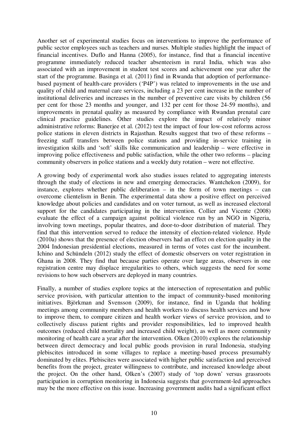Another set of experimental studies focus on interventions to improve the performance of public sector employees such as teachers and nurses. Multiple studies highlight the impact of financial incentives. Duflo and Hanna (2005), for instance, find that a financial incentive programme immediately reduced teacher absenteeism in rural India, which was also associated with an improvement in student test scores and achievement one year after the start of the programme. Basinga et al. (2011) find in Rwanda that adoption of performancebased payment of health-care providers ('P4P') was related to improvements in the use and quality of child and maternal care services, including a 23 per cent increase in the number of institutional deliveries and increases in the number of preventive care visits by children (56 per cent for those 23 months and younger, and 132 per cent for those 24-59 months), and improvements in prenatal quality as measured by compliance with Rwandan prenatal care clinical practice guidelines. Other studies explore the impact of relatively minor administrative reforms: Banerjee et al. (2012) test the impact of four low-cost reforms across police stations in eleven districts in Rajasthan. Results suggest that two of these reforms – freezing staff transfers between police stations and providing in-service training in investigation skills and 'soft' skills like communication and leadership – were effective in improving police effectiveness and public satisfaction, while the other two reforms – placing community observers in police stations and a weekly duty rotation – were not effective.

A growing body of experimental work also studies issues related to aggregating interests through the study of elections in new and emerging democracies. Wantchekon (2009), for instance, explores whether public deliberation – in the form of town meetings – can overcome clientelism in Benin. The experimental data show a positive effect on perceived knowledge about policies and candidates and on voter turnout, as well as increased electoral support for the candidates participating in the intervention. Collier and Vicente (2008) evaluate the effect of a campaign against political violence run by an NGO in Nigeria, involving town meetings, popular theatres, and door-to-door distribution of material. They find that this intervention served to reduce the intensity of election-related violence. Hyde (2010a) shows that the presence of election observers had an effect on election quality in the 2004 Indonesian presidential elections, measured in terms of votes cast for the incumbent. Ichino and Schündeln (2012) study the effect of domestic observers on voter registration in Ghana in 2008. They find that because parties operate over large areas, observers in one registration centre may displace irregularities to others, which suggests the need for some revisions to how such observers are deployed in many countries.

Finally, a number of studies explore topics at the intersection of representation and public service provision, with particular attention to the impact of community-based monitoring initiatives. Björkman and Svensson (2009), for instance, find in Uganda that holding meetings among community members and health workers to discuss health services and how to improve them, to compare citizen and health worker views of service provision, and to collectively discuss patient rights and provider responsibilities, led to improved health outcomes (reduced child mortality and increased child weight), as well as more community monitoring of health care a year after the intervention. Olken (2010) explores the relationship between direct democracy and local public goods provision in rural Indonesia, studying plebiscites introduced in some villages to replace a meeting-based process presumably dominated by elites. Plebiscites were associated with higher public satisfaction and perceived benefits from the project, greater willingness to contribute, and increased knowledge about the project. On the other hand, Olken's (2007) study of 'top down' versus grassroots participation in corruption monitoring in Indonesia suggests that government-led approaches may be the more effective on this issue. Increasing government audits had a significant effect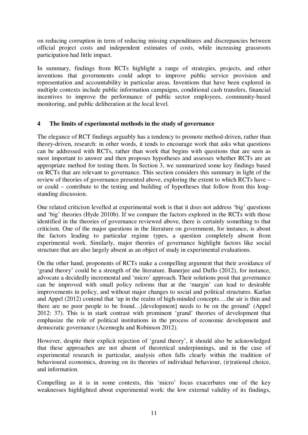on reducing corruption in term of reducing missing expenditures and discrepancies between official project costs and independent estimates of costs, while increasing grassroots participation had little impact.

In summary, findings from RCTs highlight a range of strategies, projects, and other inventions that governments could adopt to improve public service provision and representation and accountability in particular areas. Inventions that have been explored in multiple contexts include public information campaigns, conditional cash transfers, financial incentives to improve the performance of public sector employees, community-based monitoring, and public deliberation at the local level.

### **4 The limits of experimental methods in the study of governance**

The elegance of RCT findings arguably has a tendency to promote method-driven, rather than theory-driven, research: in other words, it tends to encourage work that asks what questions can be addressed with RCTs, rather than work that begins with questions that are seen as most important to answer and then proposes hypotheses and assesses whether RCTs are an appropriate method for testing them. In Section 3, we summarized some key findings based on RCTs that are relevant to governance. This section considers this summary in light of the review of theories of governance presented above, exploring the extent to which RCTs have – or could – contribute to the testing and building of hypotheses that follow from this longstanding discussion.

One related criticism levelled at experimental work is that it does not address 'big' questions and 'big' theories (Hyde 2010b). If we compare the factors explored in the RCTs with those identified in the theories of governance reviewed above, there is certainly something to that criticism. One of the major questions in the literature on government, for instance, is about the factors leading to particular regime types, a question completely absent from experimental work. Similarly, major theories of governance highlight factors like social structure that are also largely absent as an object of study in experimental evaluations.

On the other hand, proponents of RCTs make a compelling argument that their avoidance of 'grand theory' could be a strength of the literature. Banerjee and Duflo (2012), for instance, advocate a decidedly incremental and 'micro' approach. Their solutions posit that governance can be improved with small policy reforms that at the 'margin' can lead to desirable improvements in policy, and without major changes to social and political structures. Karlan and Appel (2012) contend that 'up in the realm of high-minded concepts….the air is thin and there are no poor people to be found…[development] needs to be on the ground' (Appel 2012: 37). This is in stark contrast with prominent 'grand' theories of development that emphasize the role of political institutions in the process of economic development and democratic governance (Acemoglu and Robinson 2012).

However, despite their explicit rejection of 'grand theory', it should also be acknowledged that these approaches are not absent of theoretical underpinnings, and in the case of experimental research in particular, analysis often falls clearly within the tradition of behavioural economics, drawing on its theories of individual behaviour, (ir)rational choice, and information.

Compelling as it is in some contexts, this 'micro' focus exacerbates one of the key weaknesses highlighted about experimental work: the low external validity of its findings,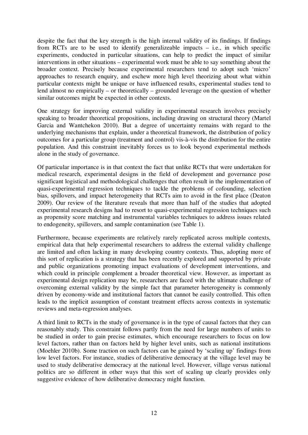despite the fact that the key strength is the high internal validity of its findings. If findings from RCTs are to be used to identify generalizeable impacts – i.e., in which specific experiments, conducted in particular situations, can help to predict the impact of similar interventions in other situations – experimental work must be able to say something about the broader context. Precisely because experimental researchers tend to adopt such 'micro' approaches to research enquiry, and eschew more high level theorizing about what within particular contexts might be unique or have influenced results, experimental studies tend to lend almost no empirically – or theoretically – grounded leverage on the question of whether similar outcomes might be expected in other contexts.

One strategy for improving external validity in experimental research involves precisely speaking to broader theoretical propositions, including drawing on structural theory (Martel Garcia and Wantchekon 2010). But a degree of uncertainty remains with regard to the underlying mechanisms that explain, under a theoretical framework, the distribution of policy outcomes for a particular group (treatment and control) vis-à-vis the distribution for the entire population. And this constraint inevitably forces us to look beyond experimental methods alone in the study of governance.

Of particular importance is in that context the fact that unlike RCTs that were undertaken for medical research, experimental designs in the field of development and governance pose significant logistical and methodological challenges that often result in the implementation of quasi-experimental regression techniques to tackle the problems of cofounding, selection bias, spillovers, and impact heterogeneity that RCTs aim to avoid in the first place (Deaton 2009). Our review of the literature reveals that more than half of the studies that adopted experimental research designs had to resort to quasi-experimental regression techniques such as propensity score matching and instrumental variables techniques to address issues related to endogeneity, spillovers, and sample contamination (see Table 1).

Furthermore, because experiments are relatively rarely replicated across multiple contexts, empirical data that help experimental researchers to address the external validity challenge are limited and often lacking in many developing country contexts. Thus, adopting more of this sort of replication is a strategy that has been recently explored and supported by private and public organizations promoting impact evaluations of development interventions, and which could in principle complement a broader theoretical view. However, as important as experimental design replication may be, researchers are faced with the ultimate challenge of overcoming external validity by the simple fact that parameter heterogeneity is commonly driven by economy-wide and institutional factors that cannot be easily controlled. This often leads to the implicit assumption of constant treatment effects across contexts in systematic reviews and meta-regression analyses.

A third limit to RCTs in the study of governance is in the type of causal factors that they can reasonably study. This constraint follows partly from the need for large numbers of units to be studied in order to gain precise estimates, which encourage researchers to focus on low level factors, rather than on factors held by higher level units, such as national institutions (Moehler 2010b). Some traction on such factors can be gained by 'scaling up' findings from low level factors. For instance, studies of deliberative democracy at the village level may be used to study deliberative democracy at the national level. However, village versus national politics are so different in other ways that this sort of scaling up clearly provides only suggestive evidence of how deliberative democracy might function.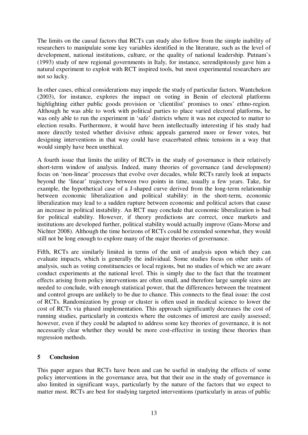The limits on the causal factors that RCTs can study also follow from the simple inability of researchers to manipulate some key variables identified in the literature, such as the level of development, national institutions, culture, or the quality of national leadership. Putnam's (1993) study of new regional governments in Italy, for instance, serendipitously gave him a natural experiment to exploit with RCT inspired tools, but most experimental researchers are not so lucky.

In other cases, ethical considerations may impede the study of particular factors. Wantchekon (2003), for instance, explores the impact on voting in Benin of electoral platforms highlighting either public goods provision or 'clientilist' promises to ones' ethno-region. Although he was able to work with political parties to place varied electoral platforms, he was only able to run the experiment in 'safe' districts where it was not expected to matter to election results. Furthermore, it would have been intellectually interesting if his study had more directly tested whether divisive ethnic appeals garnered more or fewer votes, but designing interventions in that way could have exacerbated ethnic tensions in a way that would simply have been unethical.

A fourth issue that limits the utility of RCTs in the study of governance is their relatively short-term window of analysis. Indeed, many theories of governance (and development) focus on 'non-linear' processes that evolve over decades, while RCTs rarely look at impacts beyond the 'linear' trajectory between two points in time, usually a few years. Take, for example, the hypothetical case of a J-shaped curve derived from the long-term relationship between economic liberalization and political stability: in the short-term, economic liberalization may lead to a sudden rupture between economic and political actors that cause an increase in political instability. An RCT may conclude that economic liberalization is bad for political stability. However, if theory predictions are correct, once markets and institutions are developed further, political stability would actually improve (Gans-Morse and Nichter 2008). Although the time horizons of RCTs could be extended somewhat, they would still not be long enough to explore many of the major theories of governance.

Fifth, RCTs are similarly limited in terms of the unit of analysis upon which they can evaluate impacts, which is generally the individual. Some studies focus on other units of analysis, such as voting constituencies or local regions, but no studies of which we are aware conduct experiments at the national level. This is simply due to the fact that the treatment effects arising from policy interventions are often small, and therefore large sample sizes are needed to conclude, with enough statistical power, that the differences between the treatment and control groups are unlikely to be due to chance. This connects to the final issue: the cost of RCTs. Randomization by group or cluster is often used in medical science to lower the cost of RCTs via phased implementation. This approach significantly decreases the cost of running studies, particularly in contexts where the outcomes of interest are easily assessed; however, even if they could be adapted to address some key theories of governance, it is not necessarily clear whether they would be more cost-effective in testing these theories than regression methods.

### **5 Conclusion**

This paper argues that RCTs have been and can be useful in studying the effects of some policy interventions in the governance area, but that their use in the study of governance is also limited in significant ways, particularly by the nature of the factors that we expect to matter most. RCTs are best for studying targeted interventions (particularly in areas of public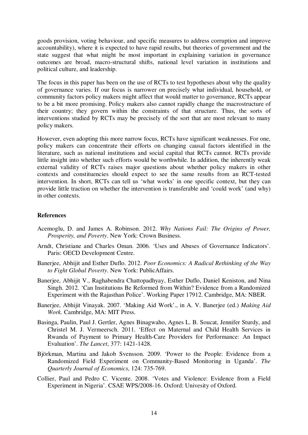goods provision, voting behaviour, and specific measures to address corruption and improve accountability), where it is expected to have rapid results, but theories of government and the state suggest that what might be most important in explaining variation in governance outcomes are broad, macro-structural shifts, national level variation in institutions and political culture, and leadership.

The focus in this paper has been on the use of RCTs to test hypotheses about why the quality of governance varies. If our focus is narrower on precisely what individual, household, or community factors policy makers might affect that would matter to governance, RCTs appear to be a bit more promising. Policy makers also cannot rapidly change the macrostructure of their country; they govern within the constraints of that structure. Thus, the sorts of interventions studied by RCTs may be precisely of the sort that are most relevant to many policy makers.

However, even adopting this more narrow focus, RCTs have significant weaknesses. For one, policy makers can concentrate their efforts on changing causal factors identified in the literature, such as national institutions and social capital that RCTs cannot. RCTs provide little insight into whether such efforts would be worthwhile. In addition, the inherently weak external validity of RCTs raises major questions about whether policy makers in other contexts and constituencies should expect to see the same results from an RCT-tested intervention. In short, RCTs can tell us 'what works' in one specific context, but they can provide little traction on whether the intervention is transferable and 'could work' (and why) in other contexts.

#### **References**

- Acemoglu, D. and James A. Robinson. 2012. *Why Nations Fail: The Origins of Power, Prosperity, and Poverty*. New York: Crown Business.
- Arndt, Christiane and Charles Oman. 2006. 'Uses and Abuses of Governance Indicators'. Paris: OECD Development Centre.
- Banerjee, Abhijit and Esther Duflo. 2012. *Poor Economics: A Radical Rethinking of the Way to Fight Global Poverty*. New York: PublicAffairs.
- Banerjee, Abhijit V., Raghabendra Chattopadhyay, Esther Duflo, Daniel Keniston, and Nina Singh. 2012. 'Can Institutions Be Reformed from Within? Evidence from a Randomized Experiment with the Rajasthan Police'. Working Paper 17912. Cambridge, MA: NBER.
- Banerjee, Abhijit Vinayak. 2007. 'Making Aid Work'., in A. V. Banerjee (ed.) *Making Aid Work.* Cambridge, MA: MIT Press.
- Basinga, Paulin, Paul J. Gertler, Agnes Binagwaho, Agnes L. B. Soucat, Jennifer Sturdy, and Christel M. J. Vermeersch. 2011. 'Effect on Maternal and Child Health Services in Rwanda of Payment to Primary Health-Care Providers for Performance: An Impact Evaluation'. *The Lancet*, 377: 1421-1428.
- Björkman, Martina and Jakob Svensson. 2009. 'Power to the People: Evidence from a Randomized Field Experiment on Community-Based Monitoring in Uganda'. *The Quarterly Journal of Economics*, 124: 735-769.
- Collier, Paul and Pedro C. Vicente. 2008. 'Votes and Violence: Evidence from a Field Experiment in Nigeria'. CSAE WPS/2008-16. Oxford: Univesity of Oxford.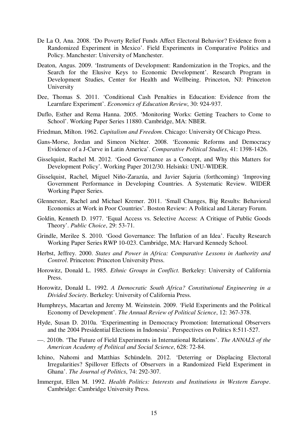- De La O, Ana. 2008. 'Do Poverty Relief Funds Affect Electoral Behavior? Evidence from a Randomized Experiment in Mexico'. Field Experiments in Comparative Politics and Policy. Manchester: University of Manchester.
- Deaton, Angus. 2009. 'Instruments of Development: Randomization in the Tropics, and the Search for the Elusive Keys to Economic Development'. Research Program in Development Studies, Center for Health and Wellbeing. Princeton, NJ: Princeton University
- Dee, Thomas S. 2011. 'Conditional Cash Penalties in Education: Evidence from the Learnfare Experiment'. *Economics of Education Review*, 30: 924-937.
- Duflo, Esther and Rema Hanna. 2005. 'Monitoring Works: Getting Teachers to Come to School'. Working Paper Series 11880. Cambridge, MA: NBER.
- Friedman, Milton. 1962. *Capitalism and Freedom*. Chicago: University Of Chicago Press.
- Gans-Morse, Jordan and Simeon Nichter. 2008. 'Economic Reforms and Democracy Evidence of a J-Curve in Latin America'. *Comparative Political Studies*, 41: 1398-1426.
- Gisselquist, Rachel M. 2012. 'Good Governance as a Concept, and Why this Matters for Development Policy'. Working Paper 2012/30. Helsinki: UNU-WIDER.
- Gisselquist, Rachel, Miguel Niño-Zarazúa, and Javier Sajuria (forthcoming) 'Improving Government Performance in Developing Countries. A Systematic Review. WIDER Working Paper Series.
- Glennerster, Rachel and Michael Kremer. 2011. 'Small Changes, Big Results: Behavioral Economics at Work in Poor Countries'. Boston Review: A Political and Literary Forum.
- Goldin, Kenneth D. 1977. 'Equal Access vs. Selective Access: A Critique of Public Goods Theory'. *Public Choice*, 29: 53-71.
- Grindle, Merilee S. 2010. 'Good Governance: The Inflation of an Idea'. Faculty Research Working Paper Series RWP 10-023. Cambridge, MA: Harvard Kennedy School.
- Herbst, Jeffrey. 2000. *States and Power in Africa: Comparative Lessons in Authority and Control*. Princeton: Princeton University Press.
- Horowitz, Donald L. 1985. *Ethnic Groups in Conflict*. Berkeley: University of California Press.
- Horowitz, Donald L. 1992. *A Democratic South Africa? Constitutional Engineering in a Divided Society*. Berkeley: University of California Press.
- Humphreys, Macartan and Jeremy M. Weinstein. 2009. 'Field Experiments and the Political Economy of Development'. *The Annual Review of Political Science*, 12: 367-378.
- Hyde, Susan D. 2010a. 'Experimenting in Democracy Promotion: International Observers and the 2004 Presidential Elections in Indonesia'. Perspectives on Politics 8:511-527.
- —. 2010b. 'The Future of Field Experiments in International Relations'. *The ANNALS of the American Academy of Political and Social Science*, 628: 72-84.
- Ichino, Nahomi and Matthias Schündeln. 2012. 'Deterring or Displacing Electoral Irregularities? Spillover Effects of Observers in a Randomized Field Experiment in Ghana'. *The Journal of Politics*, 74: 292-307.
- Immergut, Ellen M. 1992. *Health Politics: Interests and Institutions in Western Europe*. Cambridge: Cambridge University Press.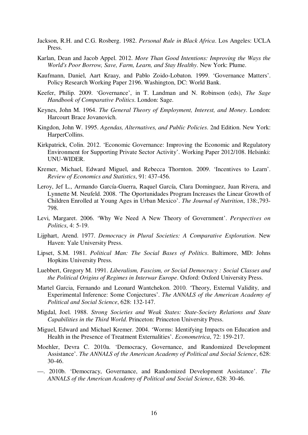- Jackson, R.H. and C.G. Rosberg. 1982. *Personal Rule in Black Africa*. Los Angeles: UCLA Press.
- Karlan, Dean and Jacob Appel. 2012. *More Than Good Intentions: Improving the Ways the World's Poor Borrow, Save, Farm, Learn, and Stay Healthy*. New York: Plume.
- Kaufmann, Daniel, Aart Kraay, and Pablo Zoido-Lobaton. 1999. 'Governance Matters'. Policy Research Working Paper 2196. Washington, DC: World Bank.
- Keefer, Philip. 2009. 'Governance', in T. Landman and N. Robinson (eds), *The Sage Handbook of Comparative Politics*. London: Sage.
- Keynes, John M. 1964. *The General Theory of Employment, Interest, and Money*. London: Harcourt Brace Jovanovich.
- Kingdon, John W. 1995. *Agendas, Alternatives, and Public Policies*. 2nd Edition. New York: HarperCollins.
- Kirkpatrick, Colin. 2012. 'Economic Governance: Improving the Economic and Regulatory Environment for Supporting Private Sector Activity'. Working Paper 2012/108. Helsinki: UNU-WIDER.
- Kremer, Michael, Edward Miguel, and Rebecca Thornton. 2009. 'Incentives to Learn'. *Review of Economics and Statistics*, 91: 437-456.
- Leroy, Jef L., Armando García-Guerra, Raquel García, Clara Dominguez, Juan Rivera, and Lynnette M. Neufeld. 2008. 'The Oportunidades Program Increases the Linear Growth of Children Enrolled at Young Ages in Urban Mexico'. *The Journal of Nutrition*, 138:,793- 798.
- Levi, Margaret. 2006. 'Why We Need A New Theory of Government'. *Perspectives on Politics*, 4: 5-19.
- Lijphart, Arend. 1977. *Democracy in Plural Societies: A Comparative Exploration*. New Haven: Yale University Press.
- Lipset, S.M. 1981. *Political Man: The Social Bases of Politics*. Baltimore, MD: Johns Hopkins University Press.
- Luebbert, Gregory M. 1991. *Liberalism, Fascism, or Social Democracy : Social Classes and the Political Origins of Regimes in Interwar Europe*. Oxford: Oxford University Press.
- Martel Garcia, Fernando and Leonard Wantchekon. 2010. 'Theory, External Validity, and Experimental Inference: Some Conjectures'. *The ANNALS of the American Academy of Political and Social Science*, 628: 132-147.
- Migdal, Joel. 1988. *Strong Societies and Weak States: State-Society Relations and State Capabilities in the Third World*. Princeton: Princeton University Press.
- Miguel, Edward and Michael Kremer. 2004. 'Worms: Identifying Impacts on Education and Health in the Presence of Treatment Externalities'. *Econometrica*, 72: 159-217.
- Moehler, Devra C. 2010a. 'Democracy, Governance, and Randomized Development Assistance'. *The ANNALS of the American Academy of Political and Social Science*, 628: 30-46.
- —. 2010b. 'Democracy, Governance, and Randomized Development Assistance'. *The ANNALS of the American Academy of Political and Social Science*, 628: 30-46.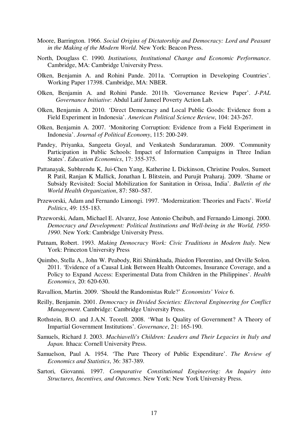- Moore, Barrington. 1966. *Social Origins of Dictatorship and Democracy: Lord and Peasant in the Making of the Modern World*. New York: Beacon Press.
- North, Douglass C. 1990. *Institutions, Institutional Change and Economic Performance*. Cambridge, MA: Cambridge University Press.
- Olken, Benjamin A. and Rohini Pande. 2011a. 'Corruption in Developing Countries'. Working Paper 17398. Cambridge, MA: NBER.
- Olken, Benjamin A. and Rohini Pande. 2011b. 'Governance Review Paper'. *J-PAL Governance Initiative*: Abdul Latif Jameel Poverty Action Lab.
- Olken, Benjamin A. 2010. 'Direct Democracy and Local Public Goods: Evidence from a Field Experiment in Indonesia'. *American Political Science Review*, 104: 243-267.
- Olken, Benjamin A. 2007. 'Monitoring Corruption: Evidence from a Field Experiment in Indonesia'. *Journal of Political Economy*, 115: 200-249.
- Pandey, Priyanka, Sangeeta Goyal, and Venkatesh Sundararaman. 2009. 'Community Participation in Public Schools: Impact of Information Campaigns in Three Indian States'. *Education Economics*, 17: 355-375.
- Pattanayak, Subhrendu K, Jui-Chen Yang, Katherine L Dickinson, Christine Poulos, Sumeet R Patil, Ranjan K Mallick, Jonathan L Blitstein, and Purujit Praharaj. 2009. 'Shame or Subsidy Revisited: Social Mobilization for Sanitation in Orissa, India'. *Bulletin of the World Health Organization*, 87: 580–587.
- Przeworski, Adam and Fernando Limongi. 1997. 'Modernization: Theories and Facts'. *World Politics*, 49: 155-183.
- Przeworski, Adam, Michael E. Alvarez, Jose Antonio Cheibub, and Fernando Limongi. 2000. *Democracy and Development: Political Institutions and Well-being in the World, 1950- 1990*. New York: Cambridge University Press.
- Putnam, Robert. 1993. *Making Democracy Work: Civic Traditions in Modern Italy*. New York: Princeton University Press
- Quimbo, Stella A., John W. Peabody, Riti Shimkhada, Jhiedon Florentino, and Orville Solon. 2011. 'Evidence of a Causal Link Between Health Outcomes, Insurance Coverage, and a Policy to Expand Access: Experimental Data from Children in the Philippines'. *Health Economics*, 20: 620-630.
- Ravallion, Martin. 2009. 'Should the Randomistas Rule?' *Economists' Voice* 6.
- Reilly, Benjamin. 2001. *Democracy in Divided Societies: Electoral Engineering for Conflict Management*. Cambridge: Cambridge University Press.
- Rothstein, B.O. and J.A.N. Teorell. 2008. 'What Is Quality of Government? A Theory of Impartial Government Institutions'. *Governance*, 21: 165-190.
- Samuels, Richard J. 2003. *Machiavelli's Children: Leaders and Their Legacies in Italy and Japan.* Ithaca: Cornell University Press.
- Samuelson, Paul A. 1954. 'The Pure Theory of Public Expenditure'. *The Review of Economics and Statistics*, 36: 387-389.
- Sartori, Giovanni. 1997. *Comparative Constitutional Engineering: An Inquiry into Structures, Incentives, and Outcomes*. New York: New York University Press.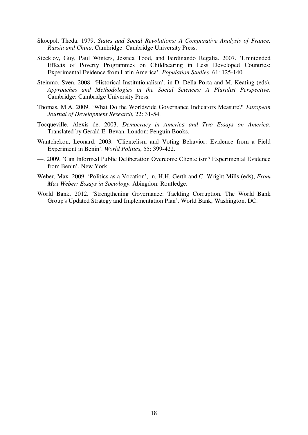- Skocpol, Theda. 1979. *States and Social Revolutions: A Comparative Analysis of France, Russia and China*. Cambridge: Cambridge University Press.
- Stecklov, Guy, Paul Winters, Jessica Tood, and Ferdinando Regalia. 2007. 'Unintended Effects of Poverty Programmes on Childbearing in Less Developed Countries: Experimental Evidence from Latin America'. *Population Studies*, 61: 125-140.
- Steinmo, Sven. 2008. 'Historical Institutionalism', in D. Della Porta and M. Keating (eds), *Approaches and Methodologies in the Social Sciences: A Pluralist Perspective*. Cambridge: Cambridge University Press.
- Thomas, M.A. 2009. 'What Do the Worldwide Governance Indicators Measure?' *European Journal of Development Research*, 22: 31-54.
- Tocqueville, Alexis de. 2003. *Democracy in America and Two Essays on America*. Translated by Gerald E. Bevan. London: Penguin Books.
- Wantchekon, Leonard. 2003. 'Clientelism and Voting Behavior: Evidence from a Field Experiment in Benin'. *World Politics*, 55: 399-422.
- —. 2009. 'Can Informed Public Deliberation Overcome Clientelism? Experimental Evidence from Benin'. New York.
- Weber, Max. 2009. 'Politics as a Vocation', in, H.H. Gerth and C. Wright Mills (eds), *From Max Weber: Essays in Sociology*. Abingdon: Routledge.
- World Bank. 2012. 'Strengthening Governance: Tackling Corruption. The World Bank Group's Updated Strategy and Implementation Plan'. World Bank, Washington, DC.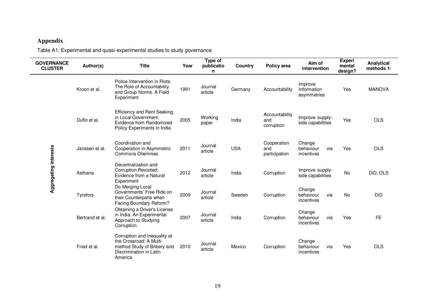### **Appendix**

Table A1: Experimental and quasi-experimental studies to study governance

| <b>GOVERNANCE</b><br><b>CLUSTER</b> | Author(s)       | <b>Title</b>                                                                                                                 | Year | Type of<br>publicatio<br>n | Country    | Policy area                         | Aim of<br>intervention                   | <b>Experi</b><br>mental<br>design? | Analytical<br>methods 1/ |
|-------------------------------------|-----------------|------------------------------------------------------------------------------------------------------------------------------|------|----------------------------|------------|-------------------------------------|------------------------------------------|------------------------------------|--------------------------|
|                                     | Kroon et al.    | Police Intervention in Riots:<br>The Role of Accountability<br>and Group Norms. A Field<br>Experiment                        | 1991 | Journal<br>article         | Germany    | Accountability                      | Improve<br>Information<br>asymmetries    | Yes                                | <b>MANOVA</b>            |
|                                     | Duflo et al.    | <b>Efficiency and Rent Seeking</b><br>in Local Government:<br>Evidence from Randomized<br>Policy Experiments in India        | 2005 | Working<br>paper           | India      | Accountability<br>and<br>corruption | Improve supply-<br>side capabilities     | Yes                                | <b>OLS</b>               |
|                                     | Janssen et al.  | Coordination and<br>Cooperation in Asymmetric<br>Commons Dilemmas                                                            | 2011 | Journal<br>article         | <b>USA</b> | Cooperation<br>and<br>participation | Change<br>via<br>behaviour<br>incentives | Yes                                | <b>OLS</b>               |
| Aggregating interests               | Asthana         | Decentralization and<br><b>Corruption Revisited:</b><br>Evidence from a Natural<br>Experiment                                | 2012 | Journal<br>article         | India      | Corruption                          | Improve supply-<br>side capabilities     | No                                 | DiD, OLS                 |
|                                     | Tyrefors        | Do Merging Local<br>Governments' Free Ride on<br>their Counterparts when<br>Facing Boundary Reform?                          | 2009 | Journal<br>article         | Sweden     | Corruption                          | Change<br>via<br>behaviour<br>incentives | No                                 | DiD                      |
|                                     | Bertrand et al. | Obtaining a Driver's License<br>in India: An Experimental<br>Approach to Studying<br>Corruption                              | 2007 | Journal<br>article         | India      | Corruption                          | Change<br>behaviour<br>via<br>incentives | Yes                                | <b>FE</b>                |
|                                     | Fried et al.    | Corruption and Inequality at<br>the Crossroad: A Multi-<br>method Study of Bribery and<br>Discrimination in Latin<br>America | 2010 | Journal<br>article         | Mexico     | Corruption                          | Change<br>behaviour<br>via<br>incentives | Yes                                | OLS                      |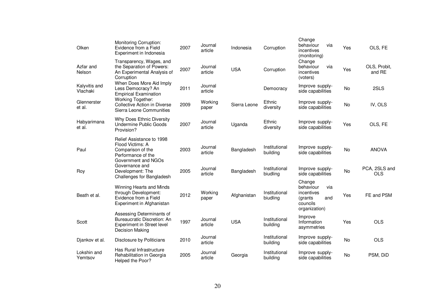| Olken                     | Monitoring Corruption:<br>Evidence from a Field<br>Experiment in Indonesia                                      | 2007 | Journal<br>article | Indonesia    | Corruption                | Change<br>behaviour<br>via<br>incentives<br>(monitoring)                                 | Yes       | OLS, FE                     |
|---------------------------|-----------------------------------------------------------------------------------------------------------------|------|--------------------|--------------|---------------------------|------------------------------------------------------------------------------------------|-----------|-----------------------------|
| Azfar and<br>Nelson       | Transparency, Wages, and<br>the Separation of Powers:<br>An Experimental Analysis of<br>Corruption              | 2007 | Journal<br>article | <b>USA</b>   | Corruption                | Change<br>behaviour<br>via<br>incentives<br>(voters)                                     | Yes       | OLS, Probit,<br>and RE      |
| Kalyvitis and<br>Vlachaki | When Does More Aid Imply<br>Less Democracy? An<br><b>Empirical Examination</b>                                  | 2011 | Journal<br>article |              | Democracy                 | Improve supply-<br>side capabilities                                                     | No        | 2SLS                        |
| Glennerster<br>et al.     | Working Together:<br>Collective Action in Diverse<br>Sierra Leone Communities                                   | 2009 | Working<br>paper   | Sierra Leone | Ethnic<br>diversity       | Improve supply-<br>side capabilities                                                     | <b>No</b> | IV, OLS                     |
| Habyarimana<br>et al.     | Why Does Ethnic Diversity<br>Undermine Public Goods<br>Provision?                                               | 2007 | Journal<br>article | Uganda       | Ethnic<br>diversity       | Improve supply-<br>side capabilities                                                     | Yes       | OLS, FE                     |
| Paul                      | Relief Assistance to 1998<br>Flood Victims: A<br>Comparison of the<br>Performance of the<br>Government and NGOs | 2003 | Journal<br>article | Bangladesh   | Institutional<br>building | Improve supply-<br>side capabilities                                                     | <b>No</b> | <b>ANOVA</b>                |
| Roy                       | Governance and<br>Development: The<br>Challenges for Bangladesh                                                 | 2005 | Journal<br>article | Bangladesh   | Institutional<br>biudling | Improve supply-<br>side capabilities                                                     | No        | PCA, 2SLS and<br><b>OLS</b> |
| Beath et al.              | Winning Hearts and Minds<br>through Development:<br>Evidence from a Field<br>Experiment in Afghanistan          | 2012 | Working<br>paper   | Afghanistan  | Institutional<br>biudling | Change<br>behaviour<br>via<br>incentives<br>(grants)<br>and<br>councils<br>organization) | Yes       | FE and PSM                  |
| Scott                     | Assessing Determinants of<br>Bureaucratic Discretion: An<br>Experiment in Street level<br>Decision Making       | 1997 | Journal<br>article | <b>USA</b>   | Institutional<br>building | Improve<br>Information<br>asymmetries                                                    | Yes       | <b>OLS</b>                  |
| Djankov et al.            | <b>Disclosure by Politicians</b>                                                                                | 2010 | Journal<br>article |              | Institutional<br>building | Improve supply-<br>side capabilities                                                     | No        | OLS                         |
| Lokshin and<br>Yemtsov    | Has Rural Infrastructure<br>Rehabilitation in Georgia<br>Helped the Poor?                                       | 2005 | Journal<br>article | Georgia      | Institutional<br>building | Improve supply-<br>side capabilities                                                     | <b>No</b> | PSM, DiD                    |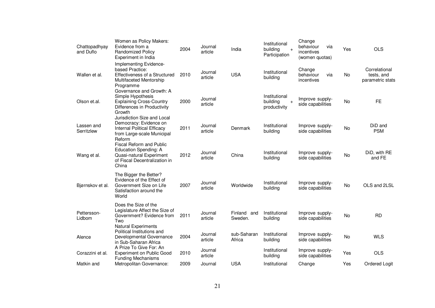| Chattopadhyay<br>and Duflo | Women as Policy Makers:<br>Evidence from a<br><b>Randomized Policy</b><br>Experiment in India                                       | 2004 | Journal<br>article | India                  | Institutional<br>building<br>$+$<br>Participation | Change<br>behaviour<br>via<br>incentives<br>(women quotas) | Yes       | <b>OLS</b>                                      |
|----------------------------|-------------------------------------------------------------------------------------------------------------------------------------|------|--------------------|------------------------|---------------------------------------------------|------------------------------------------------------------|-----------|-------------------------------------------------|
| Wallen et al.              | Implementing Evidence-<br>based Practice:<br>Effectiveness of a Structured<br>Multifaceted Mentorship<br>Programme                  | 2010 | Journal<br>article | <b>USA</b>             | Institutional<br>building                         | Change<br>behaviour<br>via<br>incentives                   | <b>No</b> | Correlational<br>tests, and<br>parametric stats |
| Olson et.al.               | Governance and Growth: A<br>Simple Hypothesis<br><b>Explaining Cross-Country</b><br>Differences in Productivity<br>Growth           | 2000 | Journal<br>article |                        | Institutional<br>building<br>$+$<br>productivity  | Improve supply-<br>side capabilities                       | No        | FE.                                             |
| Lassen and<br>Serritzlew   | Jurisdiction Size and Local<br>Democracy: Evidence on<br><b>Internal Political Efficacy</b><br>from Large-scale Municipal<br>Reform | 2011 | Journal<br>article | Denmark                | Institutional<br>building                         | Improve supply-<br>side capabilities                       | No        | DiD and<br><b>PSM</b>                           |
| Wang et al.                | <b>Fiscal Reform and Public</b><br>Education Spending: A<br>Quasi-natural Experiment<br>of Fiscal Decentralization in<br>China      | 2012 | Journal<br>article | China                  | Institutional<br>building                         | Improve supply-<br>side capabilities                       | <b>No</b> | DiD, with RE<br>and FE                          |
| Bjørnskov et al.           | The Bigger the Better?<br>Evidence of the Effect of<br>Government Size on Life<br>Satisfaction around the<br>World                  | 2007 | Journal<br>article | Worldwide              | Institutional<br>building                         | Improve supply-<br>side capabilities                       | <b>No</b> | OLS and 2LSL                                    |
| Pettersson-<br>Lidbom      | Does the Size of the<br>Legislature Affect the Size of<br>Government? Evidence from<br>Two<br><b>Natural Experiments</b>            | 2011 | Journal<br>article | Finland and<br>Sweden. | Institutional<br>building                         | Improve supply-<br>side capabilities                       | <b>No</b> | <b>RD</b>                                       |
| Alence                     | Political Institutions and<br>Developmental Governance<br>in Sub-Saharan Africa                                                     | 2004 | Journal<br>article | sub-Saharan<br>Africa  | Institutional<br>building                         | Improve supply-<br>side capabilities                       | No        | <b>WLS</b>                                      |
| Corazzini et al.           | A Prize To Give For: An<br><b>Experiment on Public Good</b><br><b>Funding Mechanisms</b>                                            | 2010 | Journal<br>article |                        | Institutional<br>building                         | Improve supply-<br>side capabilities                       | Yes       | <b>OLS</b>                                      |
| Matkin and                 | Metropolitan Governance:                                                                                                            | 2009 | Journal            | <b>USA</b>             | Institutional                                     | Change                                                     | Yes       | Ordered Logit                                   |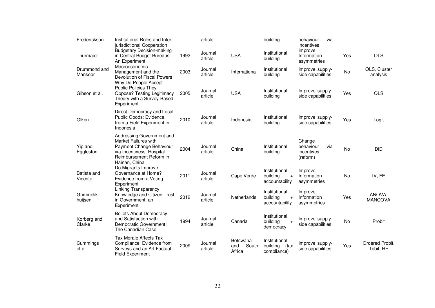| Frederickson            | Institutional Roles and Inter-<br>jurisdictional Cooperation                                                                                           |      | article            |                                    | building                                                 | behaviour<br>via<br>incentives                       |     |                              |
|-------------------------|--------------------------------------------------------------------------------------------------------------------------------------------------------|------|--------------------|------------------------------------|----------------------------------------------------------|------------------------------------------------------|-----|------------------------------|
| Thurmaier               | <b>Budgetary Decision-making</b><br>in Central Budget Bureaus:<br>An Experiment                                                                        | 1992 | Journal<br>article | <b>USA</b>                         | Institutional<br>building                                | Improve<br>Information<br>asymmetries                | Yes | <b>OLS</b>                   |
| Drummond and<br>Mansoor | Macroeconomic<br>Management and the<br>Devolution of Fiscal Powers<br>Why Do People Accept                                                             | 2003 | Journal<br>article | International                      | Institutional<br>building                                | Improve supply-<br>side capabilities                 | No  | OLS, Cluster<br>analysis     |
| Gibson et al.           | <b>Public Policies They</b><br>Oppose? Testing Legitimacy<br>Theory with a Survey-Based<br>Experiment                                                  | 2005 | Journal<br>article | <b>USA</b>                         | Institutional<br>building                                | Improve supply-<br>side capabilities                 | Yes | <b>OLS</b>                   |
| Olken                   | Direct Democracy and Local<br>Public Goods: Evidence<br>from a Field Experiment in<br>Indonesia                                                        | 2010 | Journal<br>article | Indonesia                          | Institutional<br>building                                | Improve supply-<br>side capabilities                 | Yes | Logit                        |
| Yip and<br>Eggleston    | Addressing Government and<br>Market Failures with<br>Payment Change Behaviour<br>via Incentivess: Hospital<br>Reimbursement Reform in<br>Hainan, China | 2004 | Journal<br>article | China                              | Institutional<br>building                                | Change<br>behaviour<br>via<br>incentives<br>(reform) | No  | DiD                          |
| Batista and<br>Vicente  | Do Migrants Improve<br>Governance at Home?<br>Evidence from a Voting<br>Experiment                                                                     | 2011 | Journal<br>article | Cape Verde                         | Institutional<br>building<br>$\ddot{}$<br>accountability | Improve<br>Information<br>asymmetries                | No  | IV, FE                       |
| Grimmelik-<br>huijsen   | Linking Transparency,<br>Knowledge and Citizen Trust<br>in Government: an<br>Experiment                                                                | 2012 | Journal<br>article | Netherlands                        | Institutional<br>building<br>$\ddot{}$<br>accountability | Improve<br>Information<br>asymmetries                | Yes | ANOVA,<br><b>MANCOVA</b>     |
| Korberg and<br>Clarke   | <b>Beliefs About Democracy</b><br>and Satisfaction with<br>Democratic Government:<br>The Canadian Case                                                 | 1994 | Journal<br>article | Canada                             | Institutional<br>building<br>$\overline{+}$<br>democracy | Improve supply-<br>side capabilities                 | No  | Probit                       |
| Cummings<br>et al.      | <b>Tax Morale Affects Tax</b><br>Compliance: Evidence from<br>Surveys and an Art Factual<br><b>Field Experiment</b>                                    | 2009 | Journal<br>article | Botswana<br>South<br>and<br>Africa | Institutional<br>building<br>(tax<br>compliance)         | Improve supply-<br>side capabilities                 | Yes | Ordered Probit.<br>Tobit, RE |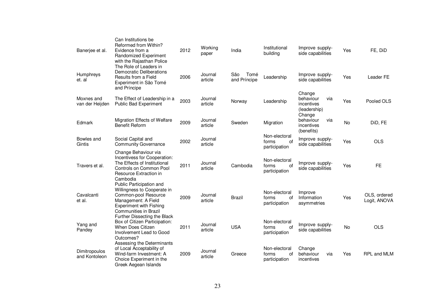| Banerjee et al.                | Can Institutions be<br>Reformed from Within?<br>Evidence from a<br>Randomized Experiment<br>with the Rajasthan Police                                             | 2012 | Working<br>paper   | India                       | Institutional<br>building                     | Improve supply-<br>side capabilities                     | Yes       | FE, DiD                      |
|--------------------------------|-------------------------------------------------------------------------------------------------------------------------------------------------------------------|------|--------------------|-----------------------------|-----------------------------------------------|----------------------------------------------------------|-----------|------------------------------|
| Humphreys<br>et. al            | The Role of Leaders in<br>Democratic Deliberations<br>Results from a Field<br>Experiment in São Tomé<br>and Príncipe                                              | 2006 | Journal<br>article | Tomé<br>São<br>and Príncipe | Leadership                                    | Improve supply-<br>side capabilities                     | Yes       | Leader FE                    |
| Moxnes and<br>van der Heijden  | The Effect of Leadership in a<br><b>Public Bad Experiment</b>                                                                                                     | 2003 | Journal<br>article | Norway                      | Leadership                                    | Change<br>behaviour<br>via<br>incentives<br>(leadership) | Yes       | Pooled OLS                   |
| Edmark                         | Migration Effects of Welfare<br><b>Benefit Reform</b>                                                                                                             | 2009 | Journal<br>article | Sweden                      | Migration                                     | Change<br>behaviour<br>via<br>incentives<br>(benefits)   | No        | DiD, FE                      |
| Bowles and<br>Gintis           | Social Capital and<br><b>Community Governance</b>                                                                                                                 | 2002 | Journal<br>article |                             | Non-electoral<br>of<br>forms<br>participation | Improve supply-<br>side capabilities                     | Yes       | <b>OLS</b>                   |
| Travers et al.                 | Change Behaviour via<br>Incentivess for Cooperation:<br>The Effects of Institutional<br>Controls on Common Pool<br>Resource Extraction in<br>Cambodia             | 2011 | Journal<br>article | Cambodia                    | Non-electoral<br>of<br>forms<br>participation | Improve supply-<br>side capabilities                     | Yes       | <b>FE</b>                    |
| Cavalcanti<br>et al.           | Public Participation and<br>Willingness to Cooperate in<br>Common-pool Resource<br>Management: A Field<br><b>Experiment with Fishing</b><br>Communities in Brazil | 2009 | Journal<br>article | <b>Brazil</b>               | Non-electoral<br>οf<br>forms<br>participation | Improve<br>Information<br>asymmetries                    | Yes       | OLS, ordered<br>Logit, ANOVA |
| Yang and<br>Pandey             | Further Dissecting the Black<br>Box of Citizen Participation:<br>When Does Citizen<br>Involvement Lead to Good<br>Outcomes?                                       | 2011 | Journal<br>article | <b>USA</b>                  | Non-electoral<br>0f<br>forms<br>participation | Improve supply-<br>side capabilities                     | <b>No</b> | <b>OLS</b>                   |
| Dimitropoulos<br>and Kontoleon | Assessing the Determinants<br>of Local Acceptability of<br>Wind-farm Investment: A<br>Choice Experiment in the<br>Greek Aegean Islands                            | 2009 | Journal<br>article | Greece                      | Non-electoral<br>forms<br>οf<br>participation | Change<br>behaviour<br>via<br>incentives                 | Yes       | RPL and MLM                  |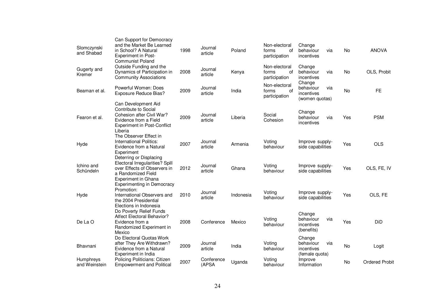| Slomczynski<br>and Shabad  | Can Support for Democracy<br>and the Market Be Learned<br>in School? A Natural<br><b>Experiment in Post-</b><br><b>Communist Poland</b>            | 1998 | Journal<br>article  | Poland    | Non-electoral<br>forms<br>0f<br>participation | Change<br>behaviour<br>via<br>incentives                   | No  | <b>ANOVA</b>          |
|----------------------------|----------------------------------------------------------------------------------------------------------------------------------------------------|------|---------------------|-----------|-----------------------------------------------|------------------------------------------------------------|-----|-----------------------|
| Gugerty and<br>Kremer      | Outside Funding and the<br>Dynamics of Participation in<br><b>Community Associations</b>                                                           | 2008 | Journal<br>article  | Kenya     | Non-electoral<br>0f<br>forms<br>participation | Change<br>behaviour<br>via<br>incentives                   | No  | OLS, Probit           |
| Beaman et al.              | Powerful Women: Does<br><b>Exposure Reduce Bias?</b>                                                                                               | 2009 | Journal<br>article  | India     | Non-electoral<br>of<br>forms<br>participation | Change<br>behaviour<br>via<br>incentives<br>(women quotas) | No  | FE                    |
| Fearon et al.              | Can Development Aid<br>Contribute to Social<br>Cohesion after Civil War?<br>Evidence from a Field<br><b>Experiment in Post-Conflict</b><br>Liberia | 2009 | Journal<br>article  | Liberia   | Social<br>Cohesion                            | Change<br>behaviour<br>via<br>incentives                   | Yes | <b>PSM</b>            |
| Hyde                       | The Observer Effect in<br><b>International Politics:</b><br>Evidence from a Natural<br>Experiment                                                  | 2007 | Journal<br>article  | Armenia   | Voting<br>behaviour                           | Improve supply-<br>side capabilities                       | Yes | <b>OLS</b>            |
| Ichino and<br>Schündeln    | Deterring or Displacing<br>Electoral Irregularities? Spill<br>over Effects of Observers in<br>a Randomized Field<br>Experiment in Ghana            | 2012 | Journal<br>article  | Ghana     | Voting<br>behaviour                           | Improve supply-<br>side capabilities                       | Yes | OLS, FE, IV           |
| Hyde                       | <b>Experimenting in Democracy</b><br>Promotion:<br>International Observers and<br>the 2004 Presidential<br>Elections in Indonesia                  | 2010 | Journal<br>article  | Indonesia | Voting<br>behaviour                           | Improve supply-<br>side capabilities                       | Yes | OLS, FE               |
| De La O                    | Do Poverty Relief Funds<br><b>Affect Electoral Behavior?</b><br>Evidence from a<br>Randomized Experiment in<br>Mexico                              | 2008 | Conference          | Mexico    | Voting<br>behaviour                           | Change<br>behaviour<br>via<br>incentives<br>(benefits)     | Yes | DiD                   |
| Bhavnani                   | Do Electoral Quotas Work<br>after They Are Withdrawn?<br>Evidence from a Natural<br>Experiment in India                                            | 2009 | Journal<br>article  | India     | Voting<br>behaviour                           | Change<br>behaviour<br>via<br>incentives<br>(female quota) | No  | Logit                 |
| Humphreys<br>and Weinstein | Policing Politicians: Citizen<br><b>Empowerment and Political</b>                                                                                  | 2007 | Conference<br>(APSA | Uganda    | Voting<br>behaviour                           | Improve<br>Information                                     | No  | <b>Ordered Probit</b> |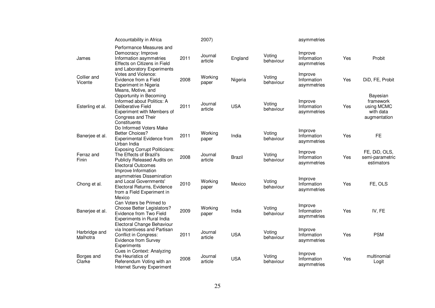|                           | Accountability in Africa                                                                                                                                              |      | 2007)              |               |                     | asymmetries                           |     |                                                                  |
|---------------------------|-----------------------------------------------------------------------------------------------------------------------------------------------------------------------|------|--------------------|---------------|---------------------|---------------------------------------|-----|------------------------------------------------------------------|
| James                     | Performance Measures and<br>Democracy: Improve<br>Information asymmetries<br>Effects on Citizens in Field<br>and Laboratory Experiments                               | 2011 | Journal<br>article | England       | Voting<br>behaviour | Improve<br>Information<br>asymmetries | Yes | Probit                                                           |
| Collier and<br>Vicente    | Votes and Violence:<br>Evidence from a Field<br>Experiment in Nigeria                                                                                                 | 2008 | Working<br>paper   | Nigeria       | Voting<br>behaviour | Improve<br>Information<br>asymmetries | Yes | DiD, FE, Probit                                                  |
| Esterling et al.          | Means, Motive, and<br>Opportunity in Becoming<br>Informed about Politics: A<br>Deliberative Field<br>Experiment with Members of<br>Congress and Their<br>Constituents | 2011 | Journal<br>article | <b>USA</b>    | Voting<br>behaviour | Improve<br>Information<br>asymmetries | Yes | Bayesian<br>framework<br>using MCMC<br>with data<br>augmentation |
| Banerjee et al.           | Do Informed Voters Make<br><b>Better Choices?</b><br>Experimental Evidence from<br>Urban India                                                                        | 2011 | Working<br>paper   | India         | Voting<br>behaviour | Improve<br>Information<br>asymmetries | Yes | <b>FE</b>                                                        |
| Ferraz and<br>Finin       | <b>Exposing Corrupt Politicians:</b><br>The Effects of Brazil's<br>Publicly Released Audits on<br><b>Electoral Outcomes</b>                                           | 2008 | Journal<br>article | <b>Brazil</b> | Voting<br>behaviour | Improve<br>Information<br>asymmetries | Yes | FE, DiD, OLS,<br>semi-parametric<br>estimators                   |
| Chong et al.              | Improve Information<br>asymmetries Dissemination<br>and Local Governments'<br>Electoral Returns, Evidence<br>from a Field Experiment in<br>Mexico                     | 2010 | Working<br>paper   | Mexico        | Voting<br>behaviour | Improve<br>Information<br>asymmetries | Yes | FE, OLS                                                          |
| Banerjee et al.           | Can Voters be Primed to<br>Choose Better Legislators?<br>Evidence from Two Field<br>Experiments in Rural India                                                        | 2009 | Working<br>paper   | India         | Voting<br>behaviour | Improve<br>Information<br>asymmetries | Yes | IV, FE                                                           |
| Harbridge and<br>Malhotra | Electoral Change Behaviour<br>via Incentivess and Partisan<br>Conflict in Congress:<br>Evidence from Survey<br>Experiments                                            | 2011 | Journal<br>article | <b>USA</b>    | Voting<br>behaviour | Improve<br>Information<br>asymmetries | Yes | <b>PSM</b>                                                       |
| Borges and<br>Clarke      | Cues in Context: Analyzing<br>the Heuristics of<br>Referendum Voting with an<br>Internet Survey Experiment                                                            | 2008 | Journal<br>article | <b>USA</b>    | Voting<br>behaviour | Improve<br>Information<br>asymmetries | Yes | multinomial<br>Logit                                             |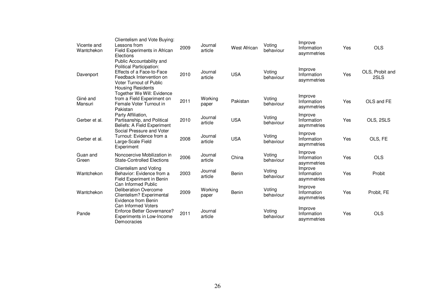| Vicente and<br>Wantchekon | Clientelism and Vote Buying:<br>Lessons from<br>Field Experiments in African<br>Elections                                                                                    | 2009 | Journal<br>article | <b>West African</b> | Voting<br>behaviour | Improve<br>Information<br>asymmetries | Yes | <b>OLS</b>              |
|---------------------------|------------------------------------------------------------------------------------------------------------------------------------------------------------------------------|------|--------------------|---------------------|---------------------|---------------------------------------|-----|-------------------------|
| Davenport                 | Public Accountability and<br>Political Participation:<br>Effects of a Face-to-Face<br>Feedback Intervention on<br><b>Voter Turnout of Public</b><br><b>Housing Residents</b> | 2010 | Journal<br>article | <b>USA</b>          | Voting<br>behaviour | Improve<br>Information<br>asymmetries | Yes | OLS, Probit and<br>2SLS |
| Giné and<br>Mansuri       | Together We Will: Evidence<br>from a Field Experiment on<br>Female Voter Turnout in<br>Pakistan                                                                              | 2011 | Working<br>paper   | Pakistan            | Voting<br>behaviour | Improve<br>Information<br>asymmetries | Yes | OLS and FE              |
| Gerber et al.             | Party Affiliation,<br>Partisanship, and Political<br>Beliefs: A Field Experiment                                                                                             | 2010 | Journal<br>article | <b>USA</b>          | Voting<br>behaviour | Improve<br>Information<br>asymmetries | Yes | OLS, 2SLS               |
| Gerber et al.             | Social Pressure and Voter<br>Turnout: Evidence from a<br>Large-Scale Field<br>Experiment                                                                                     | 2008 | Journal<br>article | <b>USA</b>          | Voting<br>behaviour | Improve<br>Information<br>asymmetries | Yes | OLS, FE                 |
| Guan and<br>Green         | Noncoercive Mobilization in<br><b>State-Controlled Elections</b>                                                                                                             | 2006 | Journal<br>article | China               | Voting<br>behaviour | Improve<br>Information<br>asymmetries | Yes | <b>OLS</b>              |
| Wantchekon                | Clientelism and Voting<br>Behavior: Evidence from a<br>Field Experiment in Benin                                                                                             | 2003 | Journal<br>article | Benin               | Voting<br>behaviour | Improve<br>Information<br>asymmetries | Yes | Probit                  |
| Wantchekon                | Can Informed Public<br><b>Deliberation Overcome</b><br>Clientelism? Experimental<br>Evidence from Benin                                                                      | 2009 | Working<br>paper   | Benin               | Voting<br>behaviour | Improve<br>Information<br>asymmetries | Yes | Probit, FE              |
| Pande                     | Can Informed Voters<br>Enforce Better Governance?<br>Experiments in Low-Income<br>Democracies                                                                                | 2011 | Journal<br>article |                     | Voting<br>behaviour | Improve<br>Information<br>asymmetries | Yes | <b>OLS</b>              |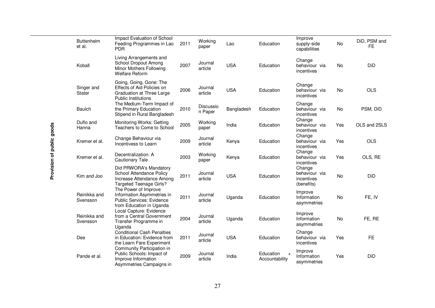|                           | <b>Buttenheim</b><br>et al. | Impact Evaluation of School<br>Feeding Programmes in Lao<br><b>PDR</b>                                             | 2011 | Working<br>paper     | Lao        | Education                                | Improve<br>supply-side<br>capabilities              | No  | DiD, PSM and<br><b>FE</b> |
|---------------------------|-----------------------------|--------------------------------------------------------------------------------------------------------------------|------|----------------------|------------|------------------------------------------|-----------------------------------------------------|-----|---------------------------|
|                           | Koball                      | Living Arrangements and<br>School Dropout Among<br>Minor Mothers Following<br><b>Welfare Reform</b>                | 2007 | Journal<br>article   | <b>USA</b> | Education                                | Change<br>behaviour via<br>incentives               | No  | DiD                       |
|                           | Singer and<br><b>Stater</b> | Going, Going, Gone: The<br>Effects of Aid Policies on<br>Graduation at Three Large<br><b>Public Institutions</b>   | 2006 | Journal<br>article   | <b>USA</b> | Education                                | Change<br>behaviour via<br>incentives               | No  | <b>OLS</b>                |
|                           | <b>Baulch</b>               | The Medium-Term Impact of<br>the Primary Education<br>Stipend in Rural Bangladesh                                  | 2010 | Discussio<br>n Paper | Bangladesh | Education                                | Change<br>behaviour via<br>incentives               | No  | PSM, DiD                  |
|                           | Duflo and<br>Hanna          | Monitoring Works: Getting<br>Teachers to Come to School                                                            | 2005 | Working<br>paper     | India      | Education                                | Change<br>behaviour via<br>incentives               | Yes | OLS and 2SLS              |
| Provision of public goods | Kremer et al.               | Change Behaviour via<br>Incentivess to Learn                                                                       | 2009 | Journal<br>article   | Kenya      | Education                                | Change<br>behaviour via<br>incentives               | Yes | <b>OLS</b>                |
|                           | Kremer et al.               | Decentralization: A<br><b>Cautionary Tale</b>                                                                      | 2003 | Working<br>paper     | Kenya      | Education                                | Change<br>behaviour via<br>incentives               | Yes | OLS, RE                   |
|                           | Kim and Joo                 | Did PRWORA's Mandatory<br>School Attendance Policy<br>Increase Attendance Among<br><b>Targeted Teenage Girls?</b>  | 2011 | Journal<br>article   | <b>USA</b> | Education                                | Change<br>behaviour via<br>incentives<br>(benefits) | No  | DiD                       |
|                           | Reinikka and<br>Svensson    | The Power of Improve<br>Information Asymmetries in<br><b>Public Services: Evidence</b><br>from Education in Uganda | 2011 | Journal<br>article   | Uganda     | Education                                | Improve<br>Information<br>asymmetries               | No  | FE, IV                    |
|                           | Reinikka and<br>Svensson    | Local Capture: Evidence<br>from a Central Government<br>Transfer Programme in<br>Uganda                            | 2004 | Journal<br>article   | Uganda     | Education                                | Improve<br>Information<br>asymmetries               | No  | FE, RE                    |
|                           | Dee                         | <b>Conditional Cash Penalties</b><br>in Education: Evidence from<br>the Learn Fare Experiment                      | 2011 | Journal<br>article   | <b>USA</b> | Education                                | Change<br>behaviour via<br>incentives               | Yes | <b>FE</b>                 |
|                           | Pande et al.                | Community Participation in<br>Public Schools: Impact of<br>Improve Information<br>Asymmetries Campaigns in         | 2009 | Journal<br>article   | India      | Education<br>$\ddot{}$<br>Accountability | Improve<br>Information<br>asymmetries               | Yes | DiD                       |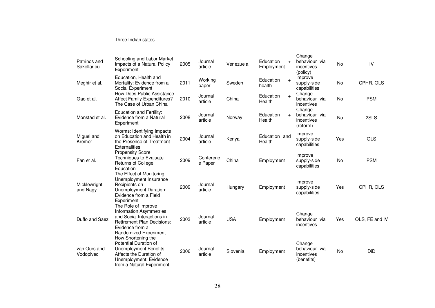#### Three Indian states

| Patrinos and<br>Sakellariou | Schooling and Labor Market<br>Impacts of a Natural Policy<br>Experiment                                                                                              | 2005 | Journal<br>article   | Venezuela  | Education<br>$+$<br>Employment | Change<br>behaviour via<br>incentives<br>(policy)   | No        | IV             |
|-----------------------------|----------------------------------------------------------------------------------------------------------------------------------------------------------------------|------|----------------------|------------|--------------------------------|-----------------------------------------------------|-----------|----------------|
| Meghir et al.               | Education, Health and<br>Mortality: Evidence from a<br>Social Experiment                                                                                             | 2011 | Working<br>paper     | Sweden     | Education<br>$+$<br>health     | Improve<br>supply-side<br>capabilities              | No        | CPHR, OLS      |
| Gao et al.                  | <b>How Does Public Assistance</b><br><b>Affect Family Expenditures?</b><br>The Case of Urban China                                                                   | 2010 | Journal<br>article   | China      | Education<br>$+$<br>Health     | Change<br>behaviour via<br>incentives               | <b>No</b> | <b>PSM</b>     |
| Monstad et al.              | <b>Education and Fertility:</b><br>Evidence from a Natural<br>Experiment                                                                                             | 2008 | Journal<br>article   | Norway     | Education<br>$+$<br>Health     | Change<br>behaviour via<br>incentives<br>(reform)   | <b>No</b> | 2SLS           |
| Miguel and<br>Kremer        | Worms: Identifying Impacts<br>on Education and Health in<br>the Presence of Treatment<br>Externalities                                                               | 2004 | Journal<br>article   | Kenya      | Education and<br>Health        | Improve<br>supply-side<br>capabilities              | Yes       | <b>OLS</b>     |
| Fan et al.                  | <b>Propensity Score</b><br><b>Techniques to Evaluate</b><br>Returns of College<br>Education                                                                          | 2009 | Conferenc<br>e Paper | China      | Employment                     | Improve<br>supply-side<br>capabilities              | <b>No</b> | <b>PSM</b>     |
| Micklewright<br>and Nagy    | The Effect of Monitoring<br>Unemployment Insurance<br>Recipients on<br>Unemployment Duration:<br>Evidence from a Field<br>Experiment                                 | 2009 | Journal<br>article   | Hungary    | Employment                     | Improve<br>supply-side<br>capabilities              | Yes       | CPHR, OLS      |
| Duflo and Saez              | The Role of Improve<br><b>Information Asymmetries</b><br>and Social Interactions in<br><b>Retirement Plan Decisions:</b><br>Evidence from a<br>Randomized Experiment | 2003 | Journal<br>article   | <b>USA</b> | Employment                     | Change<br>behaviour via<br>incentives               | Yes       | OLS, FE and IV |
| van Ours and<br>Vodopivec   | How Shortening the<br>Potential Duration of<br>Unemployment Benefits<br>Affects the Duration of<br>Unemployment: Evidence<br>from a Natural Experiment               | 2006 | Journal<br>article   | Slovenia   | Employment                     | Change<br>behaviour via<br>incentives<br>(benefits) | <b>No</b> | DiD            |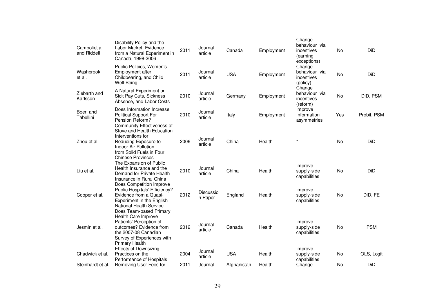| Campolietia<br>and Riddell | Disability Policy and the<br>Labor Market: Evidence<br>from a Natural Experiment in<br>Canada, 1998-2006                                                                            | 2011 | Journal<br>article   | Canada      | Employment | Change<br>behaviour via<br>incentives<br>(earning<br>exceptions) | No        | <b>DiD</b>  |
|----------------------------|-------------------------------------------------------------------------------------------------------------------------------------------------------------------------------------|------|----------------------|-------------|------------|------------------------------------------------------------------|-----------|-------------|
| Washbrook<br>et al.        | Public Policies, Women's<br>Employment after<br>Childbearing, and Child<br>Well-Being                                                                                               | 2011 | Journal<br>article   | <b>USA</b>  | Employment | Change<br>behaviour via<br>incentives<br>(policy)                | No        | DiD         |
| Ziebarth and<br>Karlsson   | A Natural Experiment on<br>Sick Pay Cuts, Sickness<br>Absence, and Labor Costs                                                                                                      | 2010 | Journal<br>article   | Germany     | Employment | Change<br>behaviour via<br>incentives<br>(reform)                | <b>No</b> | DiD, PSM    |
| Boeri and<br>Tabellini     | Does Information Increase<br><b>Political Support For</b><br>Pension Reform?<br>Community Effectiveness of                                                                          | 2010 | Journal<br>article   | Italy       | Employment | Improve<br>Information<br>asymmetries                            | Yes       | Probit, PSM |
| Zhou et al.                | Stove and Health Education<br>Interventions for<br>Reducing Exposure to<br>Indoor Air Pollution<br>from Solid Fuels in Four<br><b>Chinese Provinces</b>                             | 2006 | Journal<br>article   | China       | Health     | $\star$                                                          | No        | DiD         |
| Liu et al.                 | The Expansion of Public<br>Health Insurance and the<br>Demand for Private Health<br>Insurance in Rural China                                                                        | 2010 | Journal<br>article   | China       | Health     | Improve<br>supply-side<br>capabilities                           | <b>No</b> | DiD         |
| Cooper et al.              | Does Competition Improve<br>Public Hospitals' Efficiency?<br>Evidence from a Quasi-<br>Experiment in the English<br><b>National Health Service</b>                                  | 2012 | Discussio<br>n Paper | England     | Health     | Improve<br>supply-side<br>capabilities                           | No        | DiD, FE     |
| Jesmin et al.              | Does Team-based Primary<br>Health Care Improve<br>Patients' Perception of<br>outcomes? Evidence from<br>the 2007-08 Canadian<br>Survey of Experiences with<br><b>Primary Health</b> | 2012 | Journal<br>article   | Canada      | Health     | Improve<br>supply-side<br>capabilities                           | <b>No</b> | <b>PSM</b>  |
| Chadwick et al.            | <b>Effects of Downsizing</b><br>Practices on the<br>Performance of Hospitals                                                                                                        | 2004 | Journal<br>article   | <b>USA</b>  | Health     | Improve<br>supply-side<br>capabilities                           | No        | OLS, Logit  |
| Steinhardt et al.          | Removing User Fees for                                                                                                                                                              | 2011 | Journal              | Afghanistan | Health     | Change                                                           | No        | DiD         |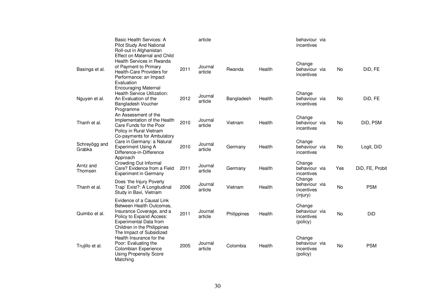|                         | <b>Basic Health Services: A</b><br>Pilot Study And National<br>Roll-out in Afghanistan<br>Effect on Maternal and Child                                                         |      | article            |             |        | behaviour via<br>incentives                       |           |                 |
|-------------------------|--------------------------------------------------------------------------------------------------------------------------------------------------------------------------------|------|--------------------|-------------|--------|---------------------------------------------------|-----------|-----------------|
| Basinga et al.          | Health Services in Rwanda<br>of Payment to Primary<br>Health-Care Providers for<br>Performance: an Impact<br>Evaluation<br><b>Encouraging Maternal</b>                         | 2011 | Journal<br>article | Rwanda      | Health | Change<br>behaviour via<br>incentives             | <b>No</b> | DiD, FE         |
| Nguyen et al.           | <b>Health Service Utilization:</b><br>An Evaluation of the<br>Bangladesh Voucher<br>Programme                                                                                  | 2012 | Journal<br>article | Bangladesh  | Health | Change<br>behaviour via<br>incentives             | No        | DiD, FE         |
| Thanh et al.            | An Assessment of the<br>Implementation of the Health<br>Care Funds for the Poor<br>Policy in Rural Vietnam                                                                     | 2010 | Journal<br>article | Vietnam     | Health | Change<br>behaviour via<br>incentives             | No        | DiD, PSM        |
| Schreyögg and<br>Grabka | Co-payments for Ambulatory<br>Care in Germany: a Natural<br><b>Experiment Using A</b><br>Difference-in-Difference<br>Approach                                                  | 2010 | Journal<br>article | Germany     | Health | Change<br>behaviour via<br>incentives             | No        | Logit, DiD      |
| Arntz and<br>Thomsen    | Crowding Out Informal<br>Care? Evidence from a Field<br>Experiment in Germany                                                                                                  | 2011 | Journal<br>article | Germany     | Health | Change<br>behaviour via<br>incentives             | Yes       | DiD, FE, Probit |
| Thanh et al.            | Does 'the Injury Poverty<br>Trap' Exist?: A Longitudinal<br>Study in Bavi, Vietnam                                                                                             | 2006 | Journal<br>article | Vietnam     | Health | Change<br>behaviour via<br>incentives<br>(injury) | No        | <b>PSM</b>      |
| Quimbo et al.           | Evidence of a Causal Link<br>Between Health Outcomes,<br>Insurance Coverage, and a<br>Policy to Expand Access:<br><b>Experimental Data from</b><br>Children in the Philippines | 2011 | Journal<br>article | Philippines | Health | Change<br>behaviour via<br>incentives<br>(policy) | No        | DiD             |
| Trujillo et al.         | The Impact of Subsidized<br>Health Insurance for the<br>Poor: Evaluating the<br>Colombian Experience<br><b>Using Propensity Score</b><br>Matching                              | 2005 | Journal<br>article | Colombia    | Health | Change<br>behaviour via<br>incentives<br>(policy) | <b>No</b> | <b>PSM</b>      |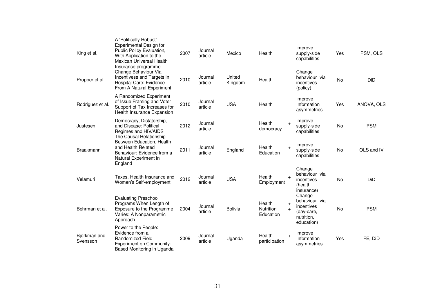| King et al.              | A 'Politically Robust'<br><b>Experimental Design for</b><br>Public Policy Evaluation,<br>With Application to the<br>Mexican Universal Health | 2007 | Journal<br>article | Mexico            | Health                                  | Improve<br>supply-side<br>capabilities                                                              | Yes       | PSM, OLS   |
|--------------------------|----------------------------------------------------------------------------------------------------------------------------------------------|------|--------------------|-------------------|-----------------------------------------|-----------------------------------------------------------------------------------------------------|-----------|------------|
| Propper et al.           | Insurance programme<br>Change Behaviour Via<br>Incentivess and Targets in<br>Hospital Care: Evidence<br>From A Natural Experiment            | 2010 | Journal<br>article | United<br>Kingdom | Health                                  | Change<br>behaviour via<br>incentives<br>(policy)                                                   | <b>No</b> | DiD        |
| Rodriguez et al.         | A Randomized Experiment<br>of Issue Framing and Voter<br>Support of Tax Increases for<br>Health Insurance Expansion                          | 2010 | Journal<br>article | <b>USA</b>        | Health                                  | Improve<br>Information<br>asymmetries                                                               | Yes       | ANOVA, OLS |
| Justesen                 | Democracy, Dictatorship,<br>and Disease: Political<br>Regimes and HIV/AIDS<br>The Causal Relationship                                        | 2012 | Journal<br>article |                   | Health<br>democracy                     | Improve<br>$\ddot{}$<br>supply-side<br>capabilities                                                 | No        | <b>PSM</b> |
| <b>Braakmann</b>         | Between Education, Health<br>and Health Related<br>Behaviour: Evidence from a<br>Natural Experiment in<br>England                            | 2011 | Journal<br>article | England           | Health<br>Education                     | Improve<br>$\ddot{}$<br>supply-side<br>capabilities                                                 | <b>No</b> | OLS and IV |
| Velamuri                 | Taxes, Health Insurance and<br>Women's Self-employment                                                                                       | 2012 | Journal<br>article | <b>USA</b>        | Health<br>$\ddot{}$<br>Employment       | Change<br>behaviour via<br>incentives<br>(health<br>insurance)                                      | <b>No</b> | DiD        |
| Behrman et al.           | <b>Evaluating Preschool</b><br>Programs When Length of<br>Exposure to the Programme<br>Varies: A Nonparametric<br>Approach                   | 2004 | Journal<br>article | <b>Bolivia</b>    | Health<br><b>Nutrition</b><br>Education | Change<br>behaviour via<br>$\ddot{}$<br>incentives<br>$+$<br>(day-care,<br>nutrition.<br>education) | No        | <b>PSM</b> |
| Björkman and<br>Svensson | Power to the People:<br>Evidence from a<br><b>Randomized Field</b><br><b>Experiment on Community-</b><br>Based Monitoring in Uganda          | 2009 | Journal<br>article | Uganda            | Health<br>participation                 | Improve<br>$\ddot{}$<br>Information<br>asymmetries                                                  | Yes       | FE, DiD    |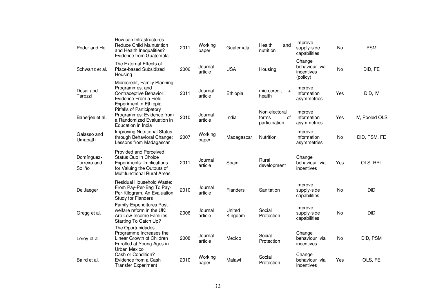| Poder and He                         | How can Infrastructures<br><b>Reduce Child Malnutrition</b><br>and Health Inequalities?<br>Evidence from Guatemala                                            | 2011 | Working<br>paper   | Guatemala         | Health<br>and<br>nutrition                    | Improve<br>supply-side<br>capabilities            | No        | <b>PSM</b>     |
|--------------------------------------|---------------------------------------------------------------------------------------------------------------------------------------------------------------|------|--------------------|-------------------|-----------------------------------------------|---------------------------------------------------|-----------|----------------|
| Schwartz et al.                      | The External Effects of<br>Place-based Subsidized<br>Housing                                                                                                  | 2006 | Journal<br>article | <b>USA</b>        | Housing                                       | Change<br>behaviour via<br>incentives<br>(policy) | No        | DiD, FE        |
| Desai and<br>Tarozzi                 | Microcredit, Family Planning<br>Programmes, and<br>Contraceptive Behavior:<br>Evidence From a Field<br>Experiment in Ethiopia                                 | 2011 | Journal<br>article | Ethiopia          | microcredit<br>$+$<br>health                  | Improve<br>Information<br>asymmetries             | Yes       | DiD, IV        |
| Banerjee et al.                      | <b>Pitfalls of Participatory</b><br>Programmes: Evidence from<br>a Randomized Evaluation in<br>Education in India                                             | 2010 | Journal<br>article | India             | Non-electoral<br>of<br>forms<br>participation | Improve<br>Information<br>asymmetries             | Yes       | IV, Pooled OLS |
| Galasso and<br>Umapathi              | <b>Improving Nutritional Status</b><br>through Behavioral Change:<br>Lessons from Madagascar                                                                  | 2007 | Working<br>paper   | Madagascar        | Nutrition                                     | Improve<br>Information<br>asymmetries             | No        | DiD, PSM, FE   |
| Domínguez-<br>Torreiro and<br>Soliño | <b>Provided and Perceived</b><br>Status Quo in Choice<br><b>Experiments: Implications</b><br>for Valuing the Outputs of<br><b>Multifunctional Rural Areas</b> | 2011 | Journal<br>article | Spain             | Rural<br>development                          | Change<br>behaviour via<br>incentives             | Yes       | OLS, RPL       |
| De Jaeger                            | Residual Household Waste:<br>From Pay-Per-Bag To Pay-<br>Per-Kilogram. An Evaluation<br><b>Study for Flanders</b>                                             | 2010 | Journal<br>article | <b>Flanders</b>   | Sanitation                                    | Improve<br>supply-side<br>capabilities            | <b>No</b> | DiD            |
| Gregg et al.                         | Family Expenditures Post-<br>welfare reform in the UK:<br>Are Low-Income Families<br>Starting To Catch Up?                                                    | 2006 | Journal<br>article | United<br>Kingdom | Social<br>Protection                          | Improve<br>supply-side<br>capabilities            | No        | DiD            |
| Leroy et al.                         | The Oportunidades<br>Programme Increases the<br>Linear Growth of Children<br>Enrolled at Young Ages in<br>Urban Mexico                                        | 2008 | Journal<br>article | Mexico            | Social<br>Protection                          | Change<br>behaviour via<br>incentives             | No        | DiD, PSM       |
| Baird et al.                         | Cash or Condition?<br>Evidence from a Cash<br><b>Transfer Experiment</b>                                                                                      | 2010 | Working<br>paper   | Malawi            | Social<br>Protection                          | Change<br>behaviour via<br>incentives             | Yes       | OLS, FE        |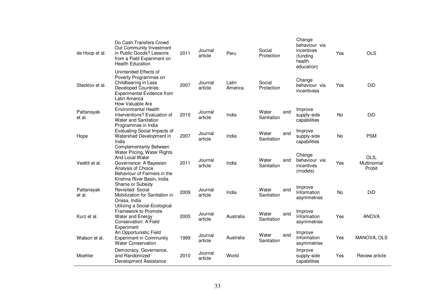| de Hoop et al.       | Do Cash Transfers Crowd<br>Out Community Investment<br>in Public Goods? Lessons<br>from a Field Experiment on<br><b>Health Education</b>                                                      | 2011 | Journal<br>article | Peru             | Social<br>Protection       | Change<br>behaviour via<br>incentives<br>(funding<br>health<br>education) | Yes       | <b>OLS</b>                    |
|----------------------|-----------------------------------------------------------------------------------------------------------------------------------------------------------------------------------------------|------|--------------------|------------------|----------------------------|---------------------------------------------------------------------------|-----------|-------------------------------|
| Stecklov et al.      | Unintended Effects of<br>Poverty Programmes on<br>Childbearing in Less<br><b>Developed Countries:</b><br><b>Experimental Evidence from</b><br>Latin America<br>How Valuable Are               | 2007 | Journal<br>article | Latin<br>America | Social<br>Protection       | Change<br>behaviour via<br>incentivess                                    | Yes       | DiD                           |
| Pattanayak<br>et al. | <b>Environmental Health</b><br>Interventions? Evaluation of<br>Water and Sanitation<br>Programmes in India                                                                                    | 2010 | Journal<br>article | India            | Water<br>and<br>Sanitation | Improve<br>supply-side<br>capabilities                                    | <b>No</b> | DiD                           |
| Hope                 | Evaluating Social Impacts of<br>Watershed Development in<br>India                                                                                                                             | 2007 | Journal<br>article | India            | Water<br>and<br>Sanitation | Improve<br>supply-side<br>capabilities                                    | No        | <b>PSM</b>                    |
| Veettil et al.       | <b>Complementarity Between</b><br>Water Pricing, Water Rights<br>And Local Water<br>Governance: A Bayesian<br>Analysis of Choice<br>Behaviour of Farmers in the<br>Krishna River Basin, India | 2011 | Journal<br>article | India            | Water<br>and<br>Sanitation | Change<br>behaviour via<br>incentives<br>(models)                         | Yes       | OLS,<br>Multinomial<br>Probit |
| Pattanayak<br>et al. | Shame or Subsidy<br>Revisited: Social<br>Mobilization for Sanitation in<br>Orissa, India                                                                                                      | 2009 | Journal<br>article | India            | Water<br>and<br>Sanitation | Improve<br>Information<br>asymmetries                                     | <b>No</b> | DiD                           |
| Kurz et al.          | Utilizing a Social-Ecological<br>Framework to Promote<br>Water and Energy<br><b>Conservation: A Field</b><br>Experiment                                                                       | 2005 | Journal<br>article | Australia        | Water<br>and<br>Sanitation | Improve<br>Information<br>asymmetries                                     | Yes       | <b>ANOVA</b>                  |
| Watson et al.        | An Opportunistic Field<br><b>Experiment in Community</b><br><b>Water Conservation</b>                                                                                                         | 1999 | Journal<br>article | Australia        | Water<br>and<br>Sanitation | Improve<br>Information<br>asymmetries                                     | Yes       | MANOVA, OLS                   |
| Moehler              | Democracy, Governance,<br>and Randomized<br>Development Assistance                                                                                                                            | 2010 | Journal<br>article | World            |                            | Improve<br>supply-side<br>capabilities                                    | Yes       | Review article                |